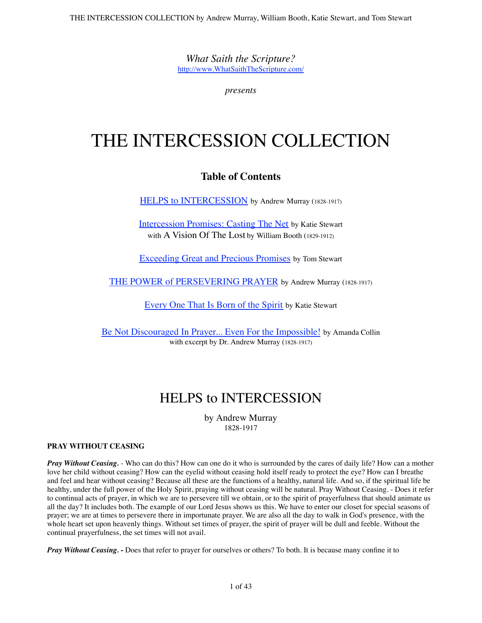. *What Saith the Scripture?* http://www.WhatSaithTheScripture.com/

*presents*

# THE INTERCESSION COLLECTION

## **Table of Contents**

HELPS to INTERCESSION by Andrew Murray (1828-1917)

Intercession Promises: Casting The Net by Katie Stewart with A Vision Of The Lost by William Booth (1829-1912)

**Exceeding Great and Precious Promises** by Tom Stewart

THE POWER of PERSEVERING PRAYER by Andrew Murray (1828-1917)

Every One That Is Born of the Spirit by Katie Stewart

Be Not Discouraged In Prayer... Even For the Impossible! by Amanda Collin with excerpt by Dr. Andrew Murray (1828-1917)

## HELPS to INTERCESSION

## by Andrew Murray 1828-1917

## **PRAY WITHOUT CEASING**

*Pray Without Ceasing.* - Who can do this? How can one do it who is surrounded by the cares of daily life? How can a mother love her child without ceasing? How can the eyelid without ceasing hold itself ready to protect the eye? How can I breathe and feel and hear without ceasing? Because all these are the functions of a healthy, natural life. And so, if the spiritual life be healthy, under the full power of the Holy Spirit, praying without ceasing will be natural. Pray Without Ceasing. - Does it refer to continual acts of prayer, in which we are to persevere till we obtain, or to the spirit of prayerfulness that should animate us all the day? It includes both. The example of our Lord Jesus shows us this. We have to enter our closet for special seasons of prayer; we are at times to persevere there in importunate prayer. We are also all the day to walk in God's presence, with the whole heart set upon heavenly things. Without set times of prayer, the spirit of prayer will be dull and feeble. Without the continual prayerfulness, the set times will not avail.

*Pray Without Ceasing. -* Does that refer to prayer for ourselves or others? To both. It is because many confine it to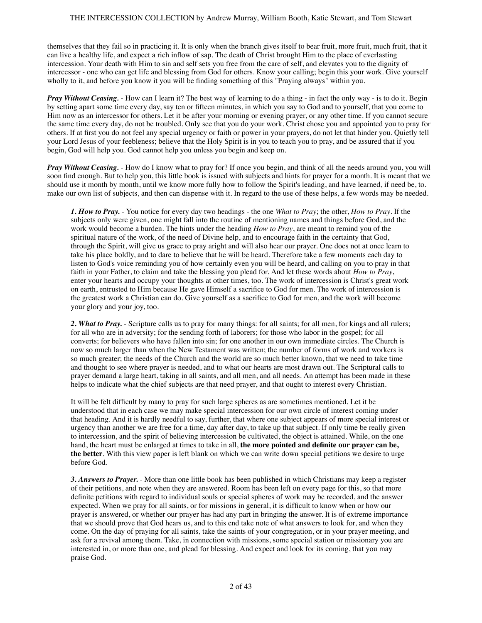themselves that they fail so in practicing it. It is only when the branch gives itself to bear fruit, more fruit, much fruit, that it can live a healthy life, and expect a rich inflow of sap. The death of Christ brought Him to the place of everlasting intercession. Your death with Him to sin and self sets you free from the care of self, and elevates you to the dignity of intercessor - one who can get life and blessing from God for others. Know your calling; begin this your work. Give yourself wholly to it, and before you know it you will be finding something of this "Praying always" within you.

*Pray Without Ceasing.* - How can I learn it? The best way of learning to do a thing - in fact the only way - is to do it. Begin by setting apart some time every day, say ten or fifteen minutes, in which you say to God and to yourself, that you come to Him now as an intercessor for others. Let it be after your morning or evening prayer, or any other time. If you cannot secure the same time every day, do not be troubled. Only see that you do your work. Christ chose you and appointed you to pray for others. If at first you do not feel any special urgency or faith or power in your prayers, do not let that hinder you. Quietly tell your Lord Jesus of your feebleness; believe that the Holy Spirit is in you to teach you to pray, and be assured that if you begin, God will help you. God cannot help you unless you begin and keep on.

*Pray Without Ceasing.* - How do I know what to pray for? If once you begin, and think of all the needs around you, you will soon find enough. But to help you, this little book is issued with subjects and hints for prayer for a month. It is meant that we should use it month by month, until we know more fully how to follow the Spirit's leading, and have learned, if need be, to. make our own list of subjects, and then can dispense with it. In regard to the use of these helps, a few words may be needed.

*1. How to Pray.* - You notice for every day two headings - the one *What to Pray*; the other, *How to Pray*. If the subjects only were given, one might fall into the routine of mentioning names and things before God, and the work would become a burden. The hints under the heading *How to Pray*, are meant to remind you of the spiritual nature of the work, of the need of Divine help, and to encourage faith in the certainty that God, through the Spirit, will give us grace to pray aright and will also hear our prayer. One does not at once learn to take his place boldly, and to dare to believe that he will be heard. Therefore take a few moments each day to listen to God's voice reminding you of how certainly even you will be heard, and calling on you to pray in that faith in your Father, to claim and take the blessing you plead for. And let these words about *How to Pray*, enter your hearts and occupy your thoughts at other times, too. The work of intercession is Christ's great work on earth, entrusted to Him because He gave Himself a sacrifice to God for men. The work of intercession is the greatest work a Christian can do. Give yourself as a sacrifice to God for men, and the work will become your glory and your joy, too.

*2. What to Pray.* - Scripture calls us to pray for many things: for all saints; for all men, for kings and all rulers; for all who are in adversity; for the sending forth of laborers; for those who labor in the gospel; for all converts; for believers who have fallen into sin; for one another in our own immediate circles. The Church is now so much larger than when the New Testament was written; the number of forms of work and workers is so much greater; the needs of the Church and the world are so much better known, that we need to take time and thought to see where prayer is needed, and to what our hearts are most drawn out. The Scriptural calls to prayer demand a large heart, taking in all saints, and all men, and all needs. An attempt has been made in these helps to indicate what the chief subjects are that need prayer, and that ought to interest every Christian.

It will be felt difficult by many to pray for such large spheres as are sometimes mentioned. Let it be understood that in each case we may make special intercession for our own circle of interest coming under that heading. And it is hardly needful to say, further, that where one subject appears of more special interest or urgency than another we are free for a time, day after day, to take up that subject. If only time be really given to intercession, and the spirit of believing intercession be cultivated, the object is attained. While, on the one hand, the heart must be enlarged at times to take in all, **the more pointed and definite our prayer can be, the better**. With this view paper is left blank on which we can write down special petitions we desire to urge before God.

*3. Answers to Prayer.* - More than one little book has been published in which Christians may keep a register of their petitions, and note when they are answered. Room has been left on every page for this, so that more definite petitions with regard to individual souls or special spheres of work may be recorded, and the answer expected. When we pray for all saints, or for missions in general, it is difficult to know when or how our prayer is answered, or whether our prayer has had any part in bringing the answer. It is of extreme importance that we should prove that God hears us, and to this end take note of what answers to look for, and when they come. On the day of praying for all saints, take the saints of your congregation, or in your prayer meeting, and ask for a revival among them. Take, in connection with missions, some special station or missionary you are interested in, or more than one, and plead for blessing. And expect and look for its coming, that you may praise God.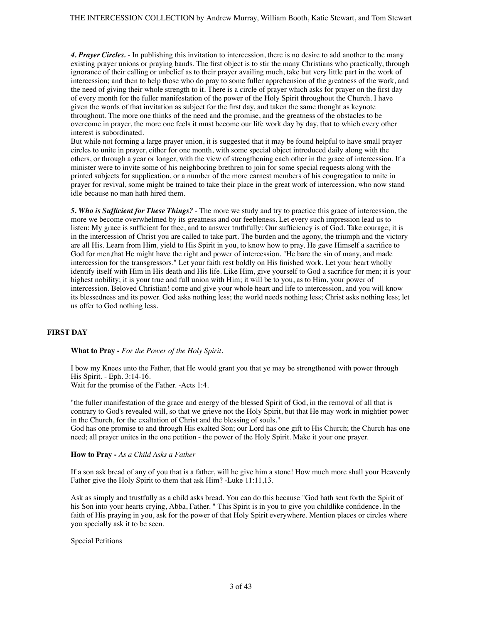*4. Prayer Circles.* - In publishing this invitation to intercession, there is no desire to add another to the many existing prayer unions or praying bands. The first object is to stir the many Christians who practically, through ignorance of their calling or unbelief as to their prayer availing much, take but very little part in the work of intercession; and then to help those who do pray to some fuller apprehension of the greatness of the work, and the need of giving their whole strength to it. There is a circle of prayer which asks for prayer on the first day of every month for the fuller manifestation of the power of the Holy Spirit throughout the Church. I have given the words of that invitation as subject for the first day, and taken the same thought as keynote throughout. The more one thinks of the need and the promise, and the greatness of the obstacles to be overcome in prayer, the more one feels it must become our life work day by day, that to which every other interest is subordinated.

But while not forming a large prayer union, it is suggested that it may be found helpful to have small prayer circles to unite in prayer, either for one month, with some special object introduced daily along with the others, or through a year or longer, with the view of strengthening each other in the grace of intercession. If a minister were to invite some of his neighboring brethren to join for some special requests along with the printed subjects for supplication, or a number of the more earnest members of his congregation to unite in prayer for revival, some might be trained to take their place in the great work of intercession, who now stand idle because no man hath hired them.

*5. Who is Sufficient for These Things?* - The more we study and try to practice this grace of intercession, the more we become overwhelmed by its greatness and our feebleness. Let every such impression lead us to listen: My grace is sufficient for thee, and to answer truthfully: Our sufficiency is of God. Take courage; it is in the intercession of Christ you are called to take part. The burden and the agony, the triumph and the victory are all His. Learn from Him, yield to His Spirit in you, to know how to pray. He gave Himself a sacrifice to God for men, that He might have the right and power of intercession. "He bare the sin of many, and made intercession for the transgressors." Let your faith rest boldly on His finished work. Let your heart wholly identify itself with Him in His death and His life. Like Him, give yourself to God a sacrifice for men; it is your highest nobility; it is your true and full union with Him; it will be to you, as to Him, your power of intercession. Beloved Christian! come and give your whole heart and life to intercession, and you will know its blessedness and its power. God asks nothing less; the world needs nothing less; Christ asks nothing less; let us offer to God nothing less.

## **FIRST DAY**

## **What to Pray -** *For the Power of the Holy Spirit.*

I bow my Knees unto the Father, that He would grant you that ye may be strengthened with power through His Spirit. - Eph. 3:14-16. Wait for the promise of the Father. -Acts 1:4.

"the fuller manifestation of the grace and energy of the blessed Spirit of God, in the removal of all that is contrary to God's revealed will, so that we grieve not the Holy Spirit, but that He may work in mightier power in the Church, for the exaltation of Christ and the blessing of souls."

God has one promise to and through His exalted Son; our Lord has one gift to His Church; the Church has one need; all prayer unites in the one petition - the power of the Holy Spirit. Make it your one prayer.

## **How to Pray -** *As a Child Asks a Father*

If a son ask bread of any of you that is a father, will he give him a stone! How much more shall your Heavenly Father give the Holy Spirit to them that ask Him? -Luke 11:11,13.

Ask as simply and trustfully as a child asks bread. You can do this because "God hath sent forth the Spirit of his Son into your hearts crying, Abba, Father. " This Spirit is in you to give you childlike confidence. In the faith of His praying in you, ask for the power of that Holy Spirit everywhere. Mention places or circles where you specially ask it to be seen.

Special Petitions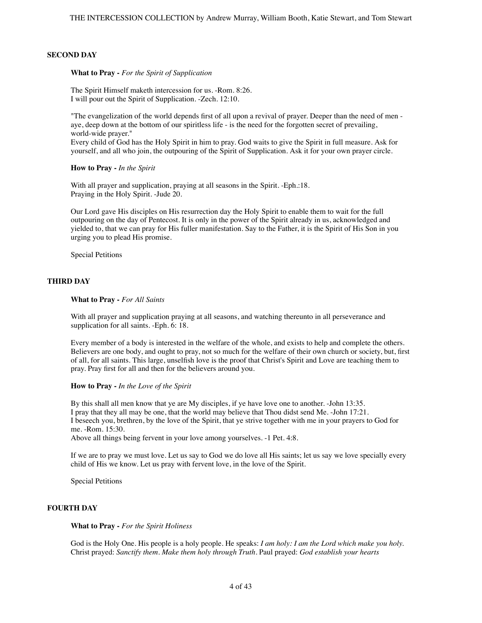## **SECOND DAY**

**What to Pray -** *For the Spirit of Supplication*

The Spirit Himself maketh intercession for us. -Rom. 8:26. I will pour out the Spirit of Supplication. -Zech. 12:10.

"The evangelization of the world depends first of all upon a revival of prayer. Deeper than the need of men aye, deep down at the bottom of our spiritless life - is the need for the forgotten secret of prevailing, world-wide prayer."

Every child of God has the Holy Spirit in him to pray. God waits to give the Spirit in full measure. Ask for yourself, and all who join, the outpouring of the Spirit of Supplication. Ask it for your own prayer circle.

**How to Pray -** *In the Spirit*

With all prayer and supplication, praying at all seasons in the Spirit. -Eph.:18. Praying in the Holy Spirit. -Jude 20.

Our Lord gave His disciples on His resurrection day the Holy Spirit to enable them to wait for the full outpouring on the day of Pentecost. It is only in the power of the Spirit already in us, acknowledged and yielded to, that we can pray for His fuller manifestation. Say to the Father, it is the Spirit of His Son in you urging you to plead His promise.

Special Petitions

## **THIRD DAY**

**What to Pray -** *For All Saints*

With all prayer and supplication praying at all seasons, and watching thereunto in all perseverance and supplication for all saints. -Eph. 6: 18.

Every member of a body is interested in the welfare of the whole, and exists to help and complete the others. Believers are one body, and ought to pray, not so much for the welfare of their own church or society, but, first of all, for all saints. This large, unselfish love is the proof that Christ's Spirit and Love are teaching them to pray. Pray first for all and then for the believers around you.

#### **How to Pray -** *In the Love of the Spirit*

By this shall all men know that ye are My disciples, if ye have love one to another. -John 13:35. I pray that they all may be one, that the world may believe that Thou didst send Me. -John 17:21. I beseech you, brethren, by the love of the Spirit, that ye strive together with me in your prayers to God for me. -Rom. 15:30.

Above all things being fervent in your love among yourselves. -1 Pet. 4:8.

If we are to pray we must love. Let us say to God we do love all His saints; let us say we love specially every child of His we know. Let us pray with fervent love, in the love of the Spirit.

Special Petitions

#### **FOURTH DAY**

**What to Pray -** *For the Spirit Holiness*

God is the Holy One. His people is a holy people. He speaks: *I am holy: I am the Lord which make you holy.* Christ prayed: *Sanctify them. Make them holy through Truth.* Paul prayed: *God establish your hearts*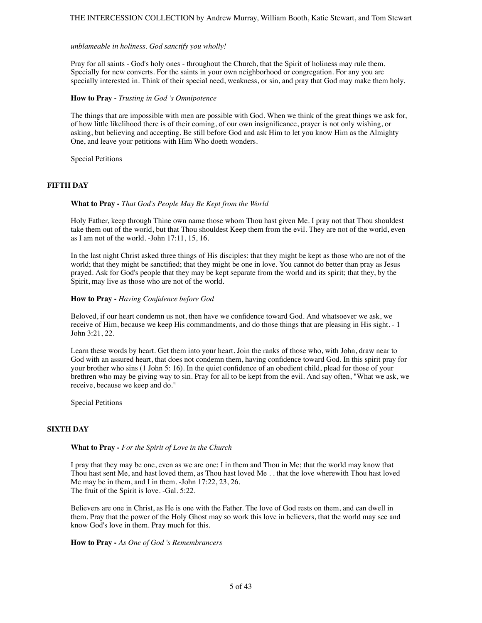*unblameable in holiness. God sanctify you wholly!*

Pray for all saints - God's holy ones - throughout the Church, that the Spirit of holiness may rule them. Specially for new converts. For the saints in your own neighborhood or congregation. For any you are specially interested in. Think of their special need, weakness, or sin, and pray that God may make them holy.

**How to Pray -** *Trusting in God 's Omnipotence*

The things that are impossible with men are possible with God. When we think of the great things we ask for, of how little likelihood there is of their coming, of our own insignificance, prayer is not only wishing, or asking, but believing and accepting. Be still before God and ask Him to let you know Him as the Almighty One, and leave your petitions with Him Who doeth wonders.

Special Petitions

## **FIFTH DAY**

**What to Pray -** *That God's People May Be Kept from the World*

Holy Father, keep through Thine own name those whom Thou hast given Me. I pray not that Thou shouldest take them out of the world, but that Thou shouldest Keep them from the evil. They are not of the world, even as I am not of the world. -John 17:11, 15, 16.

In the last night Christ asked three things of His disciples: that they might be kept as those who are not of the world; that they might be sanctified; that they might be one in love. You cannot do better than pray as Jesus prayed. Ask for God's people that they may be kept separate from the world and its spirit; that they, by the Spirit, may live as those who are not of the world.

## **How to Pray -** *Having Confidence before God*

Beloved, if our heart condemn us not, then have we confidence toward God. And whatsoever we ask, we receive of Him, because we keep His commandments, and do those things that are pleasing in His sight. - 1 John 3:21, 22.

Learn these words by heart. Get them into your heart. Join the ranks of those who, with John, draw near to God with an assured heart, that does not condemn them, having confidence toward God. In this spirit pray for your brother who sins (1 John 5: 16). In the quiet confidence of an obedient child, plead for those of your brethren who may be giving way to sin. Pray for all to be kept from the evil. And say often, "What we ask, we receive, because we keep and do."

Special Petitions

## **SIXTH DAY**

**What to Pray -** *For the Spirit of Love in the Church*

I pray that they may be one, even as we are one: I in them and Thou in Me; that the world may know that Thou hast sent Me, and hast loved them, as Thou hast loved Me . . that the love wherewith Thou hast loved Me may be in them, and I in them. -John 17:22, 23, 26. The fruit of the Spirit is love. -Gal. 5:22.

Believers are one in Christ, as He is one with the Father. The love of God rests on them, and can dwell in them. Pray that the power of the Holy Ghost may so work this love in believers, that the world may see and know God's love in them. Pray much for this.

**How to Pray -** *As One of God 's Remembrancers*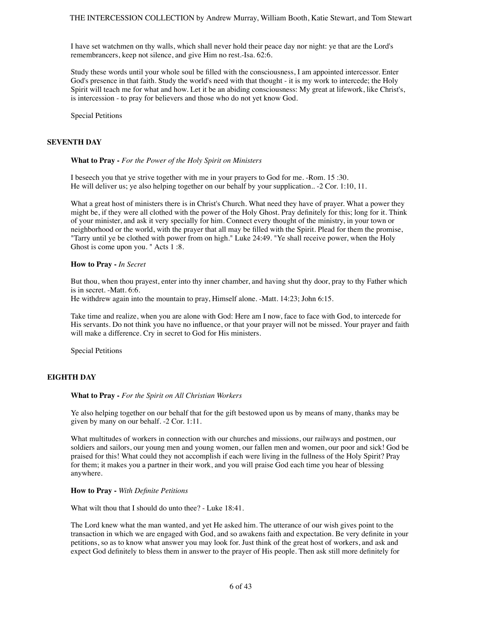I have set watchmen on thy walls, which shall never hold their peace day nor night: ye that are the Lord's remembrancers, keep not silence, and give Him no rest.-Isa. 62:6.

Study these words until your whole soul be filled with the consciousness, I am appointed intercessor. Enter God's presence in that faith. Study the world's need with that thought - it is my work to intercede; the Holy Spirit will teach me for what and how. Let it be an abiding consciousness: My great at lifework, like Christ's, is intercession - to pray for believers and those who do not yet know God.

Special Petitions

## **SEVENTH DAY**

**What to Pray -** *For the Power of the Holy Spirit on Ministers*

I beseech you that ye strive together with me in your prayers to God for me. -Rom. 15 :30. He will deliver us; ye also helping together on our behalf by your supplication.. -2 Cor. 1:10, 11.

What a great host of ministers there is in Christ's Church. What need they have of prayer. What a power they might be, if they were all clothed with the power of the Holy Ghost. Pray definitely for this; long for it. Think of your minister, and ask it very specially for him. Connect every thought of the ministry, in your town or neighborhood or the world, with the prayer that all may be filled with the Spirit. Plead for them the promise, "Tarry until ye be clothed with power from on high." Luke 24:49. "Ye shall receive power, when the Holy Ghost is come upon you. " Acts 1 :8.

## **How to Pray -** *In Secret*

But thou, when thou prayest, enter into thy inner chamber, and having shut thy door, pray to thy Father which is in secret. -Matt. 6:6. He withdrew again into the mountain to pray, Himself alone. -Matt. 14:23; John 6:15.

Take time and realize, when you are alone with God: Here am I now, face to face with God, to intercede for His servants. Do not think you have no influence, or that your prayer will not be missed. Your prayer and faith will make a difference. Cry in secret to God for His ministers.

Special Petitions

## **EIGHTH DAY**

**What to Pray -** *For the Spirit on All Christian Workers*

Ye also helping together on our behalf that for the gift bestowed upon us by means of many, thanks may be given by many on our behalf. -2 Cor. 1:11.

What multitudes of workers in connection with our churches and missions, our railways and postmen, our soldiers and sailors, our young men and young women, our fallen men and women, our poor and sick! God be praised for this! What could they not accomplish if each were living in the fullness of the Holy Spirit? Pray for them; it makes you a partner in their work, and you will praise God each time you hear of blessing anywhere.

#### **How to Pray -** *With Definite Petitions*

What wilt thou that I should do unto thee? - Luke 18:41.

The Lord knew what the man wanted, and yet He asked him. The utterance of our wish gives point to the transaction in which we are engaged with God, and so awakens faith and expectation. Be very definite in your petitions, so as to know what answer you may look for. Just think of the great host of workers, and ask and expect God definitely to bless them in answer to the prayer of His people. Then ask still more definitely for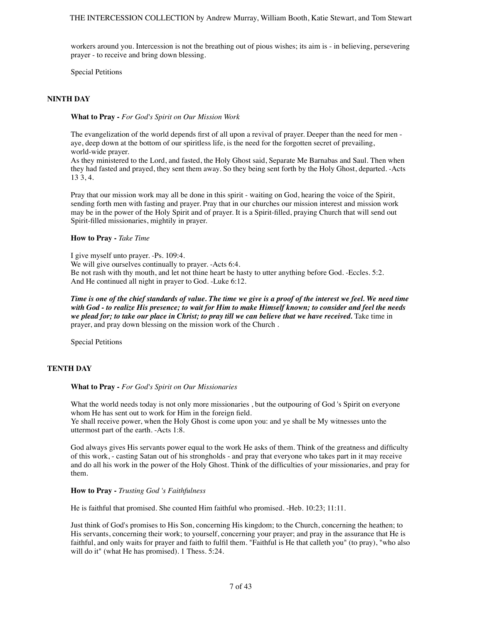workers around you. Intercession is not the breathing out of pious wishes; its aim is - in believing, persevering prayer - to receive and bring down blessing.

Special Petitions

## **NINTH DAY**

**What to Pray -** *For God's Spirit on Our Mission Work*

The evangelization of the world depends first of all upon a revival of prayer. Deeper than the need for men aye, deep down at the bottom of our spiritless life, is the need for the forgotten secret of prevailing, world-wide prayer.

As they ministered to the Lord, and fasted, the Holy Ghost said, Separate Me Barnabas and Saul. Then when they had fasted and prayed, they sent them away. So they being sent forth by the Holy Ghost, departed. -Acts 13 3, 4.

Pray that our mission work may all be done in this spirit - waiting on God, hearing the voice of the Spirit, sending forth men with fasting and prayer. Pray that in our churches our mission interest and mission work may be in the power of the Holy Spirit and of prayer. It is a Spirit-filled, praying Church that will send out Spirit-filled missionaries, mightily in prayer.

## **How to Pray -** *Take Time*

I give myself unto prayer. -Ps. 109:4. We will give ourselves continually to prayer. -Acts 6:4. Be not rash with thy mouth, and let not thine heart be hasty to utter anything before God. -Eccles. 5:2. And He continued all night in prayer to God. -Luke 6:12.

*Time is one of the chief standards of value. The time we give is a proof of the interest we feel. We need time with God - to realize His presence; to wait for Him to make Himself known; to consider and feel the needs we plead for; to take our place in Christ; to pray till we can believe that we have received.* Take time in prayer, and pray down blessing on the mission work of the Church .

Special Petitions

## **TENTH DAY**

**What to Pray -** *For God's Spirit on Our Missionaries*

What the world needs today is not only more missionaries, but the outpouring of God 's Spirit on everyone whom He has sent out to work for Him in the foreign field.

Ye shall receive power, when the Holy Ghost is come upon you: and ye shall be My witnesses unto the uttermost part of the earth. -Acts 1:8.

God always gives His servants power equal to the work He asks of them. Think of the greatness and difficulty of this work, - casting Satan out of his strongholds - and pray that everyone who takes part in it may receive and do all his work in the power of the Holy Ghost. Think of the difficulties of your missionaries, and pray for them.

## **How to Pray -** *Trusting God 's Faithfulness*

He is faithful that promised. She counted Him faithful who promised. -Heb. 10:23; 11:11.

Just think of God's promises to His Son, concerning His kingdom; to the Church, concerning the heathen; to His servants, concerning their work; to yourself, concerning your prayer; and pray in the assurance that He is faithful, and only waits for prayer and faith to fulfil them. "Faithful is He that calleth you" (to pray), "who also will do it" (what He has promised). 1 Thess. 5:24.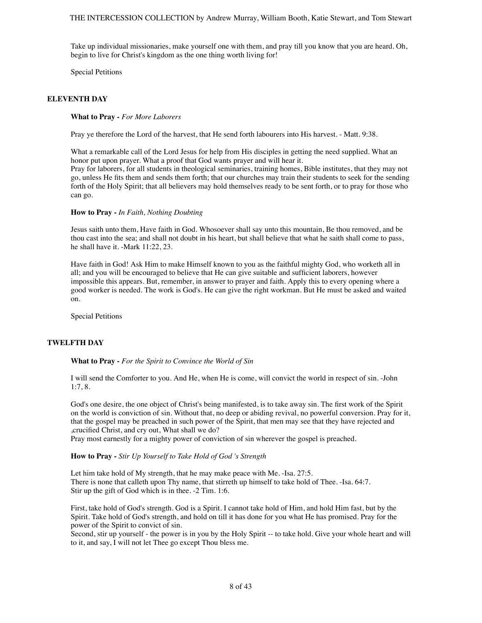Take up individual missionaries, make yourself one with them, and pray till you know that you are heard. Oh, begin to live for Christ's kingdom as the one thing worth living for!

Special Petitions

## **ELEVENTH DAY**

#### **What to Pray -** *For More Laborers*

Pray ye therefore the Lord of the harvest, that He send forth labourers into His harvest. - Matt. 9:38.

What a remarkable call of the Lord Jesus for help from His disciples in getting the need supplied. What an honor put upon prayer. What a proof that God wants prayer and will hear it.

Pray for laborers, for all students in theological seminaries, training homes, Bible institutes, that they may not go, unless He fits them and sends them forth; that our churches may train their students to seek for the sending forth of the Holy Spirit; that all believers may hold themselves ready to be sent forth, or to pray for those who can go.

## **How to Pray -** *In Faith, Nothing Doubting*

Jesus saith unto them, Have faith in God. Whosoever shall say unto this mountain, Be thou removed, and be thou cast into the sea; and shall not doubt in his heart, but shall believe that what he saith shall come to pass, he shall have it. -Mark 11:22, 23.

Have faith in God! Ask Him to make Himself known to you as the faithful mighty God, who worketh all in all; and you will be encouraged to believe that He can give suitable and sufficient laborers, however impossible this appears. But, remember, in answer to prayer and faith. Apply this to every opening where a good worker is needed. The work is God's. He can give the right workman. But He must be asked and waited on.

Special Petitions

## **TWELFTH DAY**

#### **What to Pray -** *For the Spirit to Convince the World of Sin*

I will send the Comforter to you. And He, when He is come, will convict the world in respect of sin. -John 1:7, 8.

God's one desire, the one object of Christ's being manifested, is to take away sin. The first work of the Spirit on the world is conviction of sin. Without that, no deep or abiding revival, no powerful conversion. Pray for it, that the gospel may be preached in such power of the Spirit, that men may see that they have rejected and ,crucified Christ, and cry out, What shall we do?

Pray most earnestly for a mighty power of conviction of sin wherever the gospel is preached.

**How to Pray -** *Stir Up Yourself to Take Hold of God 's Strength*

Let him take hold of My strength, that he may make peace with Me. -Isa. 27:5. There is none that calleth upon Thy name, that stirreth up himself to take hold of Thee. -Isa. 64:7. Stir up the gift of God which is in thee. -2 Tim. 1:6.

First, take hold of God's strength. God is a Spirit. I cannot take hold of Him, and hold Him fast, but by the Spirit. Take hold of God's strength, and hold on till it has done for you what He has promised. Pray for the power of the Spirit to convict of sin.

Second, stir up yourself - the power is in you by the Holy Spirit -- to take hold. Give your whole heart and will to it, and say, I will not let Thee go except Thou bless me.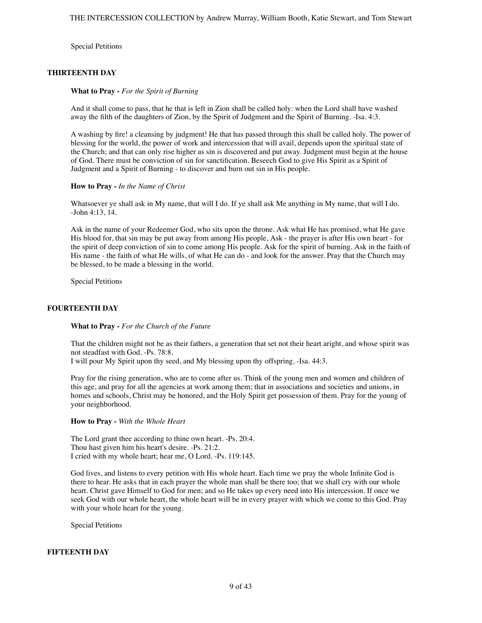Special Petitions

## **THIRTEENTH DAY**

**What to Pray -** *For the Spirit of Burning*

And it shall come to pass, that he that is left in Zion shall be called holy: when the Lord shall have washed away the filth of the daughters of Zion, by the Spirit of Judgment and the Spirit of Burning. -Isa. 4:3.

A washing by fire! a cleansing by judgment! He that has passed through this shall be called holy. The power of blessing for the world, the power of work and intercession that will avail, depends upon the spiritual state of the Church; and that can only rise higher as sin is discovered and put away. Judgment must begin at the house of God. There must be conviction of sin for sanctification. Beseech God to give His Spirit as a Spirit of Judgment and a Spirit of Burning - to discover and burn out sin in His people.

**How to Pray -** *In the Name of Christ*

Whatsoever ye shall ask in My name, that will I do. If ye shall ask Me anything in My name, that will I do. -John 4:13, 14.

Ask in the name of your Redeemer God, who sits upon the throne. Ask what He has promised, what He gave His blood for, that sin may be put away from among His people, Ask - the prayer is after His own heart - for the spirit of deep conviction of sin to come among His people. Ask for the spirit of burning. Ask in the faith of His name - the faith of what He wills, of what He can do - and look for the answer. Pray that the Church may be blessed, to be made a blessing in the world.

Special Petitions

#### **FOURTEENTH DAY**

**What to Pray -** *For the Church of the Future*

That the children might not be as their fathers, a generation that set not their heart aright, and whose spirit was not steadfast with God. -Ps. 78:8.

I will pour My Spirit upon thy seed, and My blessing upon thy offspring. -Isa. 44:3.

Pray for the rising generation, who are to come after us. Think of the young men and women and children of this age, and pray for all the agencies at work among them; that in associations and societies and unions, in homes and schools, Christ may be honored, and the Holy Spirit get possession of them. Pray for the young of your neighborhood.

**How to Pray -** *With the Whole Heart*

The Lord grant thee according to thine own heart. -Ps. 20:4. Thou hast given him his heart's desire. -Ps. 21:2. I cried with my whole heart; hear me, O Lord. -Ps. 119:145.

God lives, and listens to every petition with His whole heart. Each time we pray the whole Infinite God is there to hear. He asks that in each prayer the whole man shall be there too; that we shall cry with our whole heart. Christ gave Himself to God for men; and so He takes up every need into His intercession. If once we seek God with our whole heart, the whole heart will be in every prayer with which we come to this God. Pray with your whole heart for the young.

Special Petitions

## **FIFTEENTH DAY**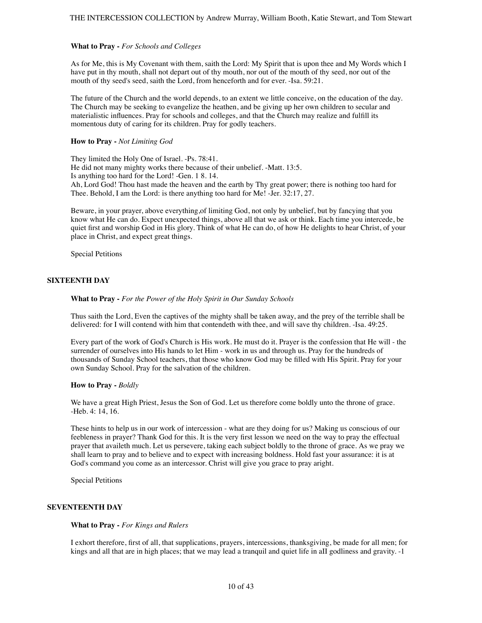## **What to Pray -** *For Schools and Colleges*

As for Me, this is My Covenant with them, saith the Lord: My Spirit that is upon thee and My Words which I have put in thy mouth, shall not depart out of thy mouth, nor out of the mouth of thy seed, nor out of the mouth of thy seed's seed, saith the Lord, from henceforth and for ever. -Isa. 59:21.

The future of the Church and the world depends, to an extent we little conceive, on the education of the day. The Church may be seeking to evangelize the heathen, and be giving up her own children to secular and materialistic influences. Pray for schools and colleges, and that the Church may realize and fulfill its momentous duty of caring for its children. Pray for godly teachers.

## **How to Pray -** *Not Limiting God*

They limited the Holy One of Israel. -Ps. 78:41. He did not many mighty works there because of their unbelief. -Matt. 13:5. Is anything too hard for the Lord! -Gen. 1 8. 14. Ah, Lord God! Thou hast made the heaven and the earth by Thy great power; there is nothing too hard for Thee. Behold, I am the Lord: is there anything too hard for Me! -Jer. 32:17, 27.

Beware, in your prayer, above everything,of limiting God, not only by unbelief, but by fancying that you know what He can do. Expect unexpected things, above all that we ask or think. Each time you intercede, be quiet first and worship God in His glory. Think of what He can do, of how He delights to hear Christ, of your place in Christ, and expect great things.

Special Petitions

## **SIXTEENTH DAY**

## **What to Pray -** *For the Power of the Holy Spirit in Our Sunday Schools*

Thus saith the Lord, Even the captives of the mighty shall be taken away, and the prey of the terrible shall be delivered: for I will contend with him that contendeth with thee, and will save thy children. -Isa. 49:25.

Every part of the work of God's Church is His work. He must do it. Prayer is the confession that He will - the surrender of ourselves into His hands to let Him - work in us and through us. Pray for the hundreds of thousands of Sunday School teachers, that those who know God may be filled with His Spirit. Pray for your own Sunday School. Pray for the salvation of the children.

## **How to Pray -** *Boldly*

We have a great High Priest, Jesus the Son of God. Let us therefore come boldly unto the throne of grace. -Heb. 4: 14, 16.

These hints to help us in our work of intercession - what are they doing for us? Making us conscious of our feebleness in prayer? Thank God for this. It is the very first lesson we need on the way to pray the effectual prayer that availeth much. Let us persevere, taking each subject boldly to the throne of grace. As we pray we shall learn to pray and to believe and to expect with increasing boldness. Hold fast your assurance: it is at God's command you come as an intercessor. Christ will give you grace to pray aright.

Special Petitions

## **SEVENTEENTH DAY**

## **What to Pray -** *For Kings and Rulers*

I exhort therefore, first of all, that supplications, prayers, intercessions, thanksgiving, be made for all men; for kings and all that are in high places; that we may lead a tranquil and quiet life in aII godliness and gravity. -1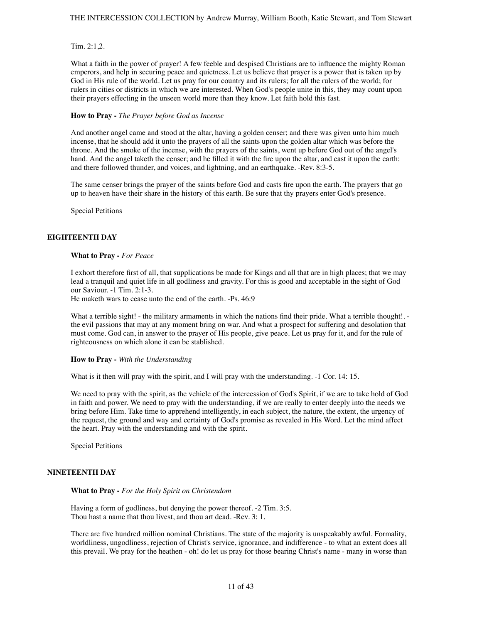## Tim. 2:1,2.

What a faith in the power of prayer! A few feeble and despised Christians are to influence the mighty Roman emperors, and help in securing peace and quietness. Let us believe that prayer is a power that is taken up by God in His rule of the world. Let us pray for our country and its rulers; for all the rulers of the world; for rulers in cities or districts in which we are interested. When God's people unite in this, they may count upon their prayers effecting in the unseen world more than they know. Let faith hold this fast.

## **How to Pray -** *The Prayer before God as Incense*

And another angel came and stood at the altar, having a golden censer; and there was given unto him much incense, that he should add it unto the prayers of all the saints upon the golden altar which was before the throne. And the smoke of the incense, with the prayers of the saints, went up before God out of the angel's hand. And the angel taketh the censer; and he filled it with the fire upon the altar, and cast it upon the earth: and there followed thunder, and voices, and lightning, and an earthquake. -Rev. 8:3-5.

The same censer brings the prayer of the saints before God and casts fire upon the earth. The prayers that go up to heaven have their share in the history of this earth. Be sure that thy prayers enter God's presence.

Special Petitions

## **EIGHTEENTH DAY**

## **What to Pray -** *For Peace*

I exhort therefore first of all, that supplications be made for Kings and all that are in high places; that we may lead a tranquil and quiet life in all godliness and gravity. For this is good and acceptable in the sight of God our Saviour. -1 Tim. 2:1-3.

He maketh wars to cease unto the end of the earth. -Ps. 46:9

What a terrible sight! - the military armaments in which the nations find their pride. What a terrible thought!. the evil passions that may at any moment bring on war. And what a prospect for suffering and desolation that must come. God can, in answer to the prayer of His people, give peace. Let us pray for it, and for the rule of righteousness on which alone it can be stablished.

## **How to Pray -** *With the Understanding*

What is it then will pray with the spirit, and I will pray with the understanding. -1 Cor. 14: 15.

We need to pray with the spirit, as the vehicle of the intercession of God's Spirit, if we are to take hold of God in faith and power. We need to pray with the understanding, if we are really to enter deeply into the needs we bring before Him. Take time to apprehend intelligently, in each subject, the nature, the extent, the urgency of the request, the ground and way and certainty of God's promise as revealed in His Word. Let the mind affect the heart. Pray with the understanding and with the spirit.

Special Petitions

## **NINETEENTH DAY**

**What to Pray -** *For the Holy Spirit on Christendom*

Having a form of godliness, but denying the power thereof. -2 Tim. 3:5. Thou hast a name that thou livest, and thou art dead. -Rev. 3: 1.

There are five hundred million nominal Christians. The state of the majority is unspeakably awful. Formality, worldliness, ungodliness, rejection of Christ's service, ignorance, and indifference - to what an extent does all this prevail. We pray for the heathen - oh! do let us pray for those bearing Christ's name - many in worse than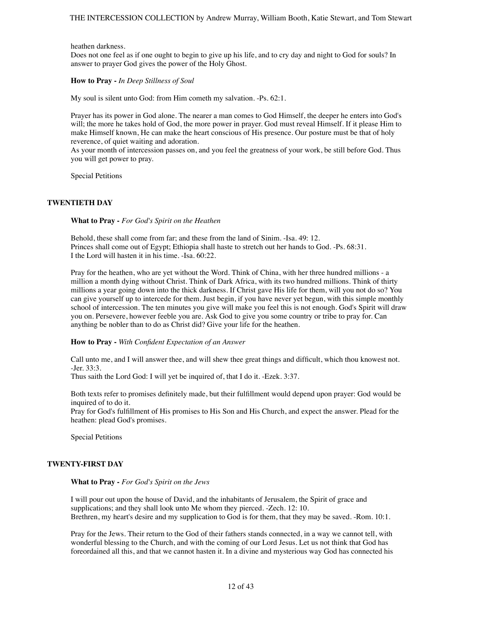heathen darkness.

Does not one feel as if one ought to begin to give up his life, and to cry day and night to God for souls? In answer to prayer God gives the power of the Holy Ghost.

**How to Pray -** *In Deep Stillness of Soul*

My soul is silent unto God: from Him cometh my salvation. -Ps. 62:1.

Prayer has its power in God alone. The nearer a man comes to God Himself, the deeper he enters into God's will; the more he takes hold of God, the more power in prayer. God must reveal Himself. If it please Him to make Himself known, He can make the heart conscious of His presence. Our posture must be that of holy reverence, of quiet waiting and adoration.

As your month of intercession passes on, and you feel the greatness of your work, be still before God. Thus you will get power to pray.

Special Petitions

## **TWENTIETH DAY**

#### **What to Pray -** *For God's Spirit on the Heathen*

Behold, these shall come from far; and these from the land of Sinim. -Isa. 49: 12. Princes shall come out of Egypt; Ethiopia shall haste to stretch out her hands to God. -Ps. 68:31. I the Lord will hasten it in his time. -Isa. 60:22.

Pray for the heathen, who are yet without the Word. Think of China, with her three hundred millions - a million a month dying without Christ. Think of Dark Africa, with its two hundred millions. Think of thirty millions a year going down into the thick darkness. If Christ gave His life for them, will you not do so? You can give yourself up to intercede for them. Just begin, if you have never yet begun, with this simple monthly school of intercession. The ten minutes you give will make you feel this is not enough. God's Spirit will draw you on. Persevere, however feeble you are. Ask God to give you some country or tribe to pray for. Can anything be nobler than to do as Christ did? Give your life for the heathen.

#### **How to Pray -** *With Confident Expectation of an Answer*

Call unto me, and I will answer thee, and will shew thee great things and difficult, which thou knowest not. -Jer. 33:3.

Thus saith the Lord God: I will yet be inquired of, that I do it. -Ezek. 3:37.

Both texts refer to promises definitely made, but their fulfillment would depend upon prayer: God would be inquired of to do it.

Pray for God's fulfillment of His promises to His Son and His Church, and expect the answer. Plead for the heathen: plead God's promises.

Special Petitions

#### **TWENTY-FIRST DAY**

**What to Pray -** *For God's Spirit on the Jews*

I will pour out upon the house of David, and the inhabitants of Jerusalem, the Spirit of grace and supplications; and they shall look unto Me whom they pierced. -Zech. 12: 10. Brethren, my heart's desire and my supplication to God is for them, that they may be saved. -Rom. 10:1.

Pray for the Jews. Their return to the God of their fathers stands connected, in a way we cannot tell, with wonderful blessing to the Church, and with the coming of our Lord Jesus. Let us not think that God has foreordained all this, and that we cannot hasten it. In a divine and mysterious way God has connected his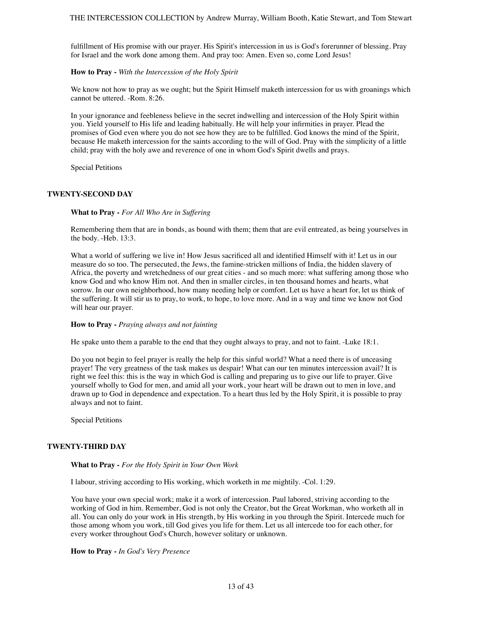fulfillment of His promise with our prayer. His Spirit's intercession in us is God's forerunner of blessing. Pray for Israel and the work done among them. And pray too: Amen. Even so, come Lord Jesus!

**How to Pray -** *With the Intercession of the Holy Spirit*

We know not how to pray as we ought; but the Spirit Himself maketh intercession for us with groanings which cannot be uttered. -Rom. 8:26.

In your ignorance and feebleness believe in the secret indwelling and intercession of the Holy Spirit within you. Yield yourself to His life and leading habitually. He will help your infirmities in prayer. Plead the promises of God even where you do not see how they are to be fulfilled. God knows the mind of the Spirit, because He maketh intercession for the saints according to the will of God. Pray with the simplicity of a little child; pray with the holy awe and reverence of one in whom God's Spirit dwells and prays.

Special Petitions

## **TWENTY-SECOND DAY**

#### **What to Pray -** *For All Who Are in Suffering*

Remembering them that are in bonds, as bound with them; them that are evil entreated, as being yourselves in the body. -Heb. 13:3.

What a world of suffering we live in! How Jesus sacrificed all and identified Himself with it! Let us in our measure do so too. The persecuted, the Jews, the famine-stricken millions of India, the hidden slavery of Africa, the poverty and wretchedness of our great cities - and so much more: what suffering among those who know God and who know Him not. And then in smaller circles, in ten thousand homes and hearts, what sorrow. In our own neighborhood, how many needing help or comfort. Let us have a heart for, let us think of the suffering. It will stir us to pray, to work, to hope, to love more. And in a way and time we know not God will hear our prayer.

## **How to Pray -** *Praying always and not fainting*

He spake unto them a parable to the end that they ought always to pray, and not to faint. -Luke 18:1.

Do you not begin to feel prayer is really the help for this sinful world? What a need there is of unceasing prayer! The very greatness of the task makes us despair! What can our ten minutes intercession avail? It is right we feel this: this is the way in which God is calling and preparing us to give our life to prayer. Give yourself wholly to God for men, and amid all your work, your heart will be drawn out to men in love, and drawn up to God in dependence and expectation. To a heart thus led by the Holy Spirit, it is possible to pray always and not to faint.

Special Petitions

## **TWENTY-THIRD DAY**

#### **What to Pray -** *For the Holy Spirit in Your Own Work*

I labour, striving according to His working, which worketh in me mightily. -Col. 1:29.

You have your own special work; make it a work of intercession. Paul labored, striving according to the working of God in him. Remember, God is not only the Creator, but the Great Workman, who worketh all in all. You can only do your work in His strength, by His working in you through the Spirit. Intercede much for those among whom you work, till God gives you life for them. Let us all intercede too for each other, for every worker throughout God's Church, however solitary or unknown.

**How to Pray -** *In God's Very Presence*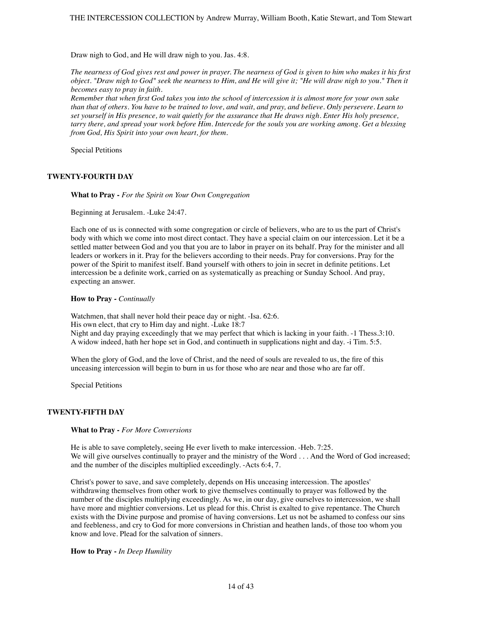Draw nigh to God, and He will draw nigh to you. Jas. 4:8.

*The nearness of God gives rest and power in prayer. The nearness of God is given to him who makes it his first object. "Draw nigh to God" seek the nearness to Him, and He will give it; "He will draw nigh to you." Then it becomes easy to pray in faith.*

*Remember that when first God takes you into the school of intercession it is almost more for your own sake than that of others. You have to be trained to love, and wait, and pray, and believe. Only persevere. Learn to set yourself in His presence, to wait quietly for the assurance that He draws nigh. Enter His holy presence, tarry there, and spread your work before Him. Intercede for the souls you are working among. Get a blessing from God, His Spirit into your own heart, for them.*

Special Petitions

## **TWENTY-FOURTH DAY**

**What to Pray -** *For the Spirit on Your Own Congregation*

Beginning at Jerusalem. -Luke 24:47.

Each one of us is connected with some congregation or circle of believers, who are to us the part of Christ's body with which we come into most direct contact. They have a special claim on our intercession. Let it be a settled matter between God and you that you are to labor in prayer on its behalf. Pray for the minister and all leaders or workers in it. Pray for the believers according to their needs. Pray for conversions. Pray for the power of the Spirit to manifest itself. Band yourself with others to join in secret in definite petitions. Let intercession be a definite work, carried on as systematically as preaching or Sunday School. And pray, expecting an answer.

**How to Pray** *- Continually*

Watchmen, that shall never hold their peace day or night. -Isa. 62:6. His own elect, that cry to Him day and night. -Luke 18:7 Night and day praying exceedingly that we may perfect that which is lacking in your faith. -1 Thess.3:10. A widow indeed, hath her hope set in God, and continueth in supplications night and day. -i Tim. 5:5.

When the glory of God, and the love of Christ, and the need of souls are revealed to us, the fire of this unceasing intercession will begin to burn in us for those who are near and those who are far off.

Special Petitions

## **TWENTY-FIFTH DAY**

**What to Pray -** *For More Conversions*

He is able to save completely, seeing He ever liveth to make intercession. -Heb. 7:25. We will give ourselves continually to prayer and the ministry of the Word . . . And the Word of God increased; and the number of the disciples multiplied exceedingly. -Acts 6:4, 7.

Christ's power to save, and save completely, depends on His unceasing intercession. The apostles' withdrawing themselves from other work to give themselves continually to prayer was followed by the number of the disciples multiplying exceedingly. As we, in our day, give ourselves to intercession, we shall have more and mightier conversions. Let us plead for this. Christ is exalted to give repentance. The Church exists with the Divine purpose and promise of having conversions. Let us not be ashamed to confess our sins and feebleness, and cry to God for more conversions in Christian and heathen lands, of those too whom you know and love. Plead for the salvation of sinners.

**How to Pray -** *In Deep Humility*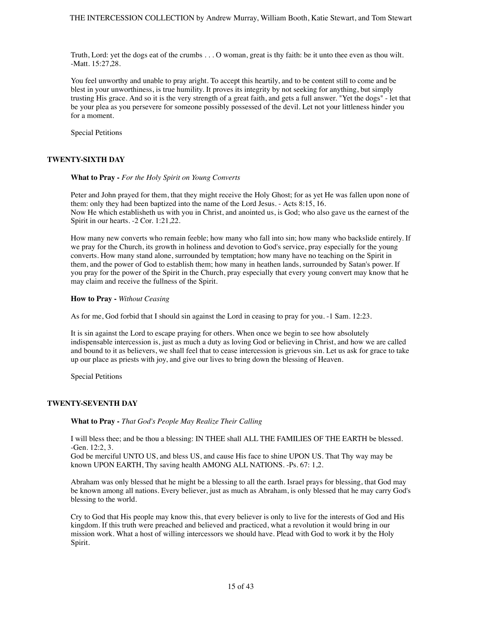Truth, Lord: yet the dogs eat of the crumbs . . . O woman, great is thy faith: be it unto thee even as thou wilt. -Matt. 15:27,28.

You feel unworthy and unable to pray aright. To accept this heartily, and to be content still to come and be blest in your unworthiness, is true humility. It proves its integrity by not seeking for anything, but simply trusting His grace. And so it is the very strength of a great faith, and gets a full answer. "Yet the dogs" - let that be your plea as you persevere for someone possibly possessed of the devil. Let not your littleness hinder you for a moment.

Special Petitions

## **TWENTY-SIXTH DAY**

**What to Pray -** *For the Holy Spirit on Young Converts*

Peter and John prayed for them, that they might receive the Holy Ghost; for as yet He was fallen upon none of them: only they had been baptized into the name of the Lord Jesus. - Acts 8:15, 16. Now He which establisheth us with you in Christ, and anointed us, is God; who also gave us the earnest of the Spirit in our hearts. -2 Cor. 1:21,22.

How many new converts who remain feeble; how many who fall into sin; how many who backslide entirely. If we pray for the Church, its growth in holiness and devotion to God's service, pray especially for the young converts. How many stand alone, surrounded by temptation; how many have no teaching on the Spirit in them, and the power of God to establish them; how many in heathen lands, surrounded by Satan's power. If you pray for the power of the Spirit in the Church, pray especially that every young convert may know that he may claim and receive the fullness of the Spirit.

**How to Pray -** *Without Ceasing*

As for me, God forbid that I should sin against the Lord in ceasing to pray for you. -1 Sam. 12:23.

It is sin against the Lord to escape praying for others. When once we begin to see how absolutely indispensable intercession is, just as much a duty as loving God or believing in Christ, and how we are called and bound to it as believers, we shall feel that to cease intercession is grievous sin. Let us ask for grace to take up our place as priests with joy, and give our lives to bring down the blessing of Heaven.

Special Petitions

## **TWENTY-SEVENTH DAY**

**What to Pray -** *That God's People May Realize Their Calling*

I will bless thee; and be thou a blessing: IN THEE shall ALL THE FAMILIES OF THE EARTH be blessed. -Gen. 12:2, 3.

God be merciful UNTO US, and bless US, and cause His face to shine UPON US. That Thy way may be known UPON EARTH, Thy saving health AMONG ALL NATIONS. -Ps. 67: 1,2.

Abraham was only blessed that he might be a blessing to all the earth. Israel prays for blessing, that God may be known among all nations. Every believer, just as much as Abraham, is only blessed that he may carry God's blessing to the world.

Cry to God that His people may know this, that every believer is only to live for the interests of God and His kingdom. If this truth were preached and believed and practiced, what a revolution it would bring in our mission work. What a host of willing intercessors we should have. Plead with God to work it by the Holy Spirit.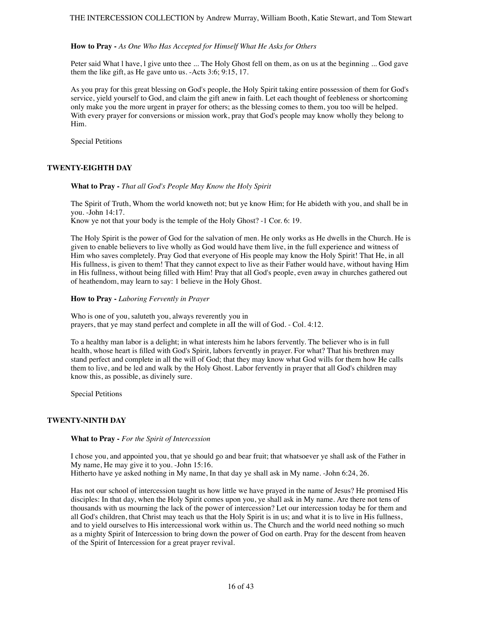## **How to Pray -** *As One Who Has Accepted for Himself What He Asks for Others*

Peter said What l have, l give unto thee ... The Holy Ghost fell on them, as on us at the beginning ... God gave them the like gift, as He gave unto us. -Acts 3:6; 9:15, 17.

As you pray for this great blessing on God's people, the Holy Spirit taking entire possession of them for God's service, yield yourself to God, and claim the gift anew in faith. Let each thought of feebleness or shortcoming only make you the more urgent in prayer for others; as the blessing comes to them, you too will be helped. With every prayer for conversions or mission work, pray that God's people may know wholly they belong to Him.

Special Petitions

## **TWENTY-EIGHTH DAY**

**What to Pray -** *That all God's People May Know the Holy Spirit*

The Spirit of Truth, Whom the world knoweth not; but ye know Him; for He abideth with you, and shall be in you. -John 14:17.

Know ye not that your body is the temple of the Holy Ghost? -1 Cor. 6: 19.

The Holy Spirit is the power of God for the salvation of men. He only works as He dwells in the Church. He is given to enable believers to live wholly as God would have them live, in the full experience and witness of Him who saves completely. Pray God that everyone of His people may know the Holy Spirit! That He, in all His fullness, is given to them! That they cannot expect to live as their Father would have, without having Him in His fullness, without being filled with Him! Pray that all God's people, even away in churches gathered out of heathendom, may learn to say: 1 believe in the Holy Ghost.

**How to Pray -** *Laboring Fervently in Prayer*

Who is one of you, saluteth you, always reverently you in prayers, that ye may stand perfect and complete in aII the will of God. - Col. 4:12.

To a healthy man labor is a delight; in what interests him he labors fervently. The believer who is in full health, whose heart is filled with God's Spirit, labors fervently in prayer. For what? That his brethren may stand perfect and complete in all the will of God; that they may know what God wills for them how He calls them to live, and be led and walk by the Holy Ghost. Labor fervently in prayer that all God's children may know this, as possible, as divinely sure.

Special Petitions

## **TWENTY-NINTH DAY**

## **What to Pray -** *For the Spirit of Intercession*

I chose you, and appointed you, that ye should go and bear fruit; that whatsoever ye shall ask of the Father in My name, He may give it to you. -John 15:16.

Hitherto have ye asked nothing in My name, In that day ye shall ask in My name. -John 6:24, 26.

Has not our school of intercession taught us how little we have prayed in the name of Jesus? He promised His disciples: In that day, when the Holy Spirit comes upon you, ye shall ask in My name. Are there not tens of thousands with us mourning the lack of the power of intercession? Let our intercession today be for them and all God's children, that Christ may teach us that the Holy Spirit is in us; and what it is to live in His fullness, and to yield ourselves to His intercessional work within us. The Church and the world need nothing so much as a mighty Spirit of Intercession to bring down the power of God on earth. Pray for the descent from heaven of the Spirit of Intercession for a great prayer revival.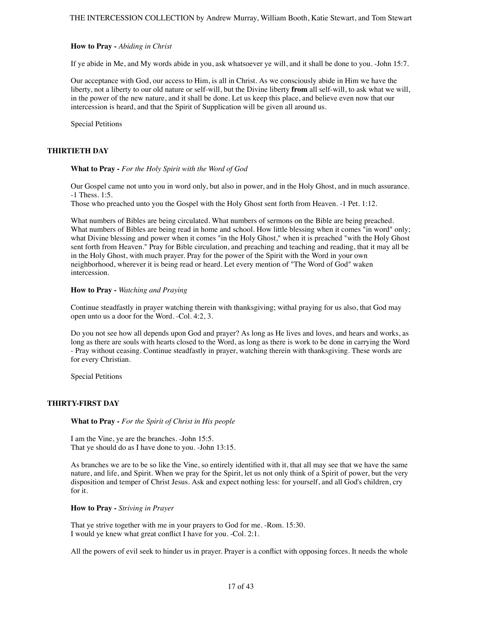#### **How to Pray -** *Abiding in Christ*

If ye abide in Me, and My words abide in you, ask whatsoever ye will, and it shall be done to you. -John 15:7.

Our acceptance with God, our access to Him, is all in Christ. As we consciously abide in Him we have the liberty, not a liberty to our old nature or self-will, but the Divine liberty **from** all self-will, to ask what we will, in the power of the new nature, and it shall be done. Let us keep this place, and believe even now that our intercession is heard, and that the Spirit of Supplication will be given all around us.

Special Petitions

## **THIRTIETH DAY**

**What to Pray -** *For the Holy Spirit with the Word of God*

Our Gospel came not unto you in word only, but also in power, and in the Holy Ghost, and in much assurance. -1 Thess. 1:5.

Those who preached unto you the Gospel with the Holy Ghost sent forth from Heaven. -1 Pet. 1:12.

What numbers of Bibles are being circulated. What numbers of sermons on the Bible are being preached. What numbers of Bibles are being read in home and school. How little blessing when it comes "in word" only; what Divine blessing and power when it comes "in the Holy Ghost," when it is preached "with the Holy Ghost sent forth from Heaven." Pray for Bible circulation, and preaching and teaching and reading, that it may all be in the Holy Ghost, with much prayer. Pray for the power of the Spirit with the Word in your own neighborhood, wherever it is being read or heard. Let every mention of "The Word of God" waken intercession.

#### **How to Pray -** *Watching and Praying*

Continue steadfastly in prayer watching therein with thanksgiving; withal praying for us also, that God may open unto us a door for the Word. -Col. 4:2, 3.

Do you not see how all depends upon God and prayer? As long as He lives and loves, and hears and works, as long as there are souls with hearts closed to the Word, as long as there is work to be done in carrying the Word - Pray without ceasing. Continue steadfastly in prayer, watching therein with thanksgiving. These words are for every Christian.

Special Petitions

## **THIRTY-FIRST DAY**

**What to Pray -** *For the Spirit of Christ in His people*

I am the Vine, ye are the branches. -John 15:5. That ye should do as I have done to you. -John 13:15.

As branches we are to be so like the Vine, so entirely identified with it, that all may see that we have the same nature, and life, and Spirit. When we pray for the Spirit, let us not only think of a Spirit of power, but the very disposition and temper of Christ Jesus. Ask and expect nothing less: for yourself, and all God's children, cry for it.

**How to Pray -** *Striving in Prayer*

That ye strive together with me in your prayers to God for me. -Rom. 15:30. I would ye knew what great conflict I have for you. -Col. 2:1.

All the powers of evil seek to hinder us in prayer. Prayer is a conflict with opposing forces. It needs the whole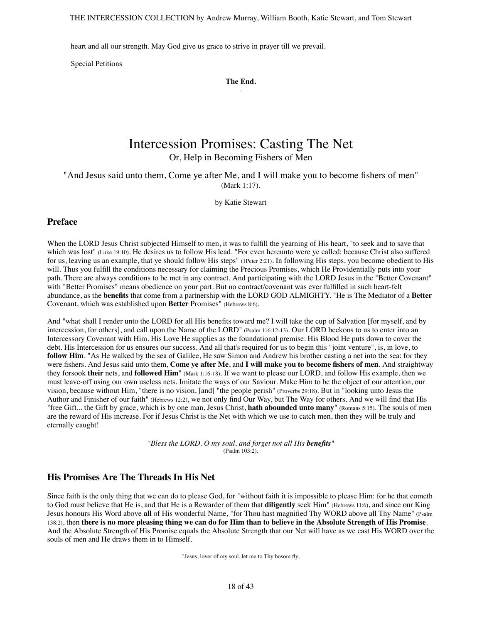heart and all our strength. May God give us grace to strive in prayer till we prevail.

Special Petitions

**The End.** .

## Intercession Promises: Casting The Net Or, Help in Becoming Fishers of Men

"And Jesus said unto them, Come ye after Me, and I will make you to become fishers of men" (Mark 1:17).

by Katie Stewart

## **Preface**

When the LORD Jesus Christ subjected Himself to men, it was to fulfill the yearning of His heart, "to seek and to save that which was lost" (Luke 19:10). He desires us to follow His lead. "For even hereunto were ye called: because Christ also suffered for us, leaving us an example, that ye should follow His steps" (1Peter 2:21). In following His steps, you become obedient to His will. Thus you fulfill the conditions necessary for claiming the Precious Promises, which He Providentially puts into your path. There are always conditions to be met in any contract. And participating with the LORD Jesus in the "Better Covenant" with "Better Promises" means obedience on your part. But no contract/covenant was ever fulfilled in such heart-felt abundance, as the **benefits** that come from a partnership with the LORD GOD ALMIGHTY. "He is The Mediator of a **Better** Covenant, which was established upon **Better** Promises" (Hebrews 8:6).

And "what shall I render unto the LORD for all His benefits toward me? I will take the cup of Salvation [for myself, and by intercession, for others], and call upon the Name of the LORD" (Psalm 116:12-13). Our LORD beckons to us to enter into an Intercessory Covenant with Him. His Love He supplies as the foundational premise. His Blood He puts down to cover the debt. His Intercession for us ensures our success. And all that's required for us to begin this "joint venture", is, in love, to **follow Him**. "As He walked by the sea of Galilee, He saw Simon and Andrew his brother casting a net into the sea: for they were fishers. And Jesus said unto them, **Come ye after Me**, and **I will make you to become fishers of men**. And straightway they forsook **their** nets, and **followed Him**" (Mark 1:16-18). If we want to please our LORD, and follow His example, then we must leave-off using our own useless nets. Imitate the ways of our Saviour. Make Him to be the object of our attention, our vision, because without Him, "there is no vision, [and] "the people perish" (Proverbs 29:18). But in "looking unto Jesus the Author and Finisher of our faith" (Hebrews 12:2), we not only find Our Way, but The Way for others. And we will find that His "free Gift... the Gift by grace, which is by one man, Jesus Christ, **hath abounded unto many**" (Romans 5:15). The souls of men are the reward of His increase. For if Jesus Christ is the Net with which we use to catch men, then they will be truly and eternally caught!

> *"Bless the LORD, O my soul, and forget not all His benefits"* (Psalm 103:2).

## **His Promises Are The Threads In His Net**

Since faith is the only thing that we can do to please God, for "without faith it is impossible to please Him: for he that cometh to God must believe that He is, and that He is a Rewarder of them that **diligently** seek Him" (Hebrews 11:6), and since our King Jesus honours His Word above **all** of His wonderful Name, "for Thou hast magnified Thy WORD above all Thy Name" (Psalm 138:2), then **there is no more pleasing thing we can do for Him than to believe in the Absolute Strength of His Promise**. And the Absolute Strength of His Promise equals the Absolute Strength that our Net will have as we cast His WORD over the souls of men and He draws them in to Himself.

"Jesus, lover of my soul, let me to Thy bosom fly,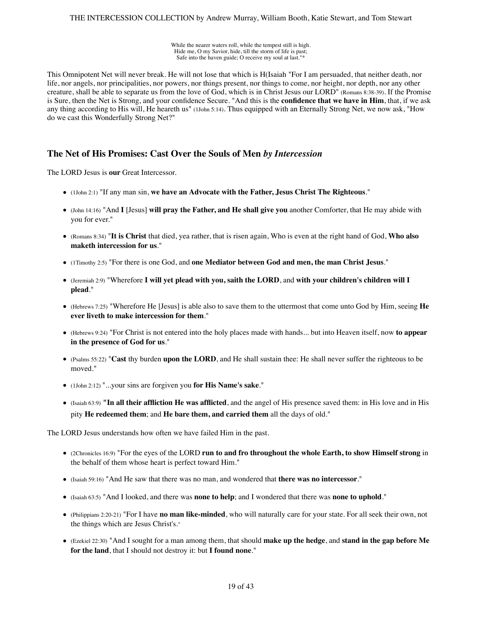While the nearer waters roll, while the tempest still is high. Hide me, O my Savior, hide, till the storm of life is past; Safe into the haven guide; O receive my soul at last."

This Omnipotent Net will never break. He will not lose that which is H(Isaiah "For I am persuaded, that neither death, nor life, nor angels, nor principalities, nor powers, nor things present, nor things to come, nor height, nor depth, nor any other creature, shall be able to separate us from the love of God, which is in Christ Jesus our LORD" (Romans 8:38-39). If the Promise is Sure, then the Net is Strong, and your confidence Secure. "And this is the **confidence that we have in Him**, that, if we ask any thing according to His will, He heareth us" (1John 5:14). Thus equipped with an Eternally Strong Net, we now ask, "How do we cast this Wonderfully Strong Net?"

## **The Net of His Promises: Cast Over the Souls of Men** *by Intercession*

The LORD Jesus is **our** Great Intercessor.

- (1John 2:1) "If any man sin, **we have an Advocate with the Father, Jesus Christ The Righteous**."
- (John 14:16) "And **I** [Jesus] **will pray the Father, and He shall give you** another Comforter, that He may abide with you for ever."
- (Romans 8:34) "**It is Christ** that died, yea rather, that is risen again, Who is even at the right hand of God, **Who also maketh intercession for us**."
- (1Timothy 2:5) "For there is one God, and **one Mediator between God and men, the man Christ Jesus**."
- (Jeremiah 2:9) "Wherefore **I will yet plead with you, saith the LORD**, and **with your children's children will I plead**."
- (Hebrews 7:25) "Wherefore He [Jesus] is able also to save them to the uttermost that come unto God by Him, seeing **He ever liveth to make intercession for them**."
- (Hebrews 9:24) "For Christ is not entered into the holy places made with hands... but into Heaven itself, now **to appear in the presence of God for us**."
- (Psalms 55:22) "**Cast** thy burden **upon the LORD**, and He shall sustain thee: He shall never suffer the righteous to be moved."
- (1John 2:12) "...your sins are forgiven you **for His Name's sake**."
- (Isaiah 63:9) **"In all their affliction He was afflicted**, and the angel of His presence saved them: in His love and in His pity **He redeemed them**; and **He bare them, and carried them** all the days of old."

The LORD Jesus understands how often we have failed Him in the past.

- (2Chronicles 16:9) "For the eyes of the LORD **run to and fro throughout the whole Earth, to show Himself strong** in the behalf of them whose heart is perfect toward Him."
- (Isaiah 59:16) "And He saw that there was no man, and wondered that **there was no intercessor**."
- (Isaiah 63:5) "And I looked, and there was **none to help**; and I wondered that there was **none to uphold**."
- (Philippians 2:20-21) "For I have **no man like-minded**, who will naturally care for your state. For all seek their own, not the things which are Jesus Christ's."
- (Ezekiel 22:30) "And I sought for a man among them, that should **make up the hedge**, and **stand in the gap before Me for the land**, that I should not destroy it: but **I found none**."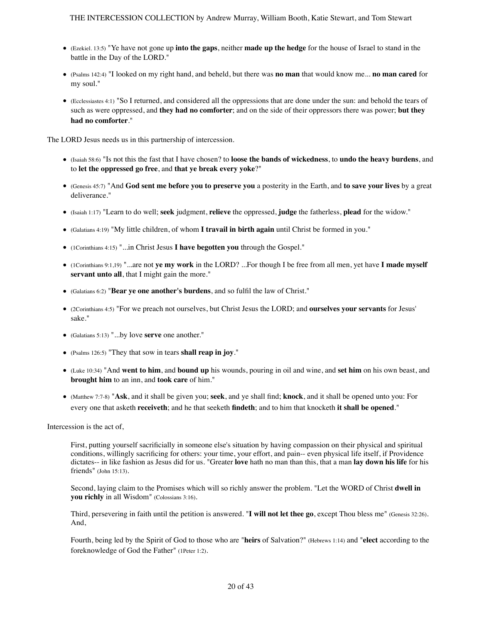- (Ezekiel. 13:5) "Ye have not gone up **into the gaps**, neither **made up the hedge** for the house of Israel to stand in the battle in the Day of the LORD."
- (Psalms 142:4) "I looked on my right hand, and beheld, but there was **no man** that would know me... **no man cared** for my soul."
- (Ecclessiastes 4:1) "So I returned, and considered all the oppressions that are done under the sun: and behold the tears of such as were oppressed, and **they had no comforter**; and on the side of their oppressors there was power; **but they had no comforter**."

The LORD Jesus needs us in this partnership of intercession.

- (Isaiah 58:6) "Is not this the fast that I have chosen? to **loose the bands of wickedness**, to **undo the heavy burdens**, and to **let the oppressed go free**, and **that ye break every yoke**?"
- (Genesis 45:7) "And **God sent me before you to preserve you** a posterity in the Earth, and **to save your lives** by a great deliverance."
- (Isaiah 1:17) "Learn to do well; **seek** judgment, **relieve** the oppressed, **judge** the fatherless, **plead** for the widow."
- (Galatians 4:19) "My little children, of whom **I travail in birth again** until Christ be formed in you."
- (1Corinthians 4:15) "...in Christ Jesus **I have begotten you** through the Gospel."
- (1Corinthians 9:1,19) "...are not **ye my work** in the LORD? ...For though I be free from all men, yet have **I made myself servant unto all**, that I might gain the more."
- (Galatians 6:2) "**Bear ye one another's burdens**, and so fulfil the law of Christ."
- (2Corinthians 4:5) "For we preach not ourselves, but Christ Jesus the LORD; and **ourselves your servants** for Jesus' sake."
- (Galatians 5:13) "...by love **serve** one another."
- (Psalms 126:5) "They that sow in tears **shall reap in joy**."
- (Luke 10:34) "And **went to him**, and **bound up** his wounds, pouring in oil and wine, and **set him** on his own beast, and **brought him** to an inn, and **took care** of him."
- (Matthew 7:7-8) "**Ask**, and it shall be given you; **seek**, and ye shall find; **knock**, and it shall be opened unto you: For every one that asketh **receiveth**; and he that seeketh **findeth**; and to him that knocketh **it shall be opened**."

Intercession is the act of,

First, putting yourself sacrificially in someone else's situation by having compassion on their physical and spiritual conditions, willingly sacrificing for others: your time, your effort, and pain-- even physical life itself, if Providence dictates-- in like fashion as Jesus did for us. "Greater **love** hath no man than this, that a man **lay down his life** for his friends" (John 15:13).

Second, laying claim to the Promises which will so richly answer the problem. "Let the WORD of Christ **dwell in you richly** in all Wisdom" (Colossians 3:16).

Third, persevering in faith until the petition is answered. "**I will not let thee go**, except Thou bless me" (Genesis 32:26). And,

Fourth, being led by the Spirit of God to those who are "**heirs** of Salvation?" (Hebrews 1:14) and "**elect** according to the foreknowledge of God the Father" (1Peter 1:2).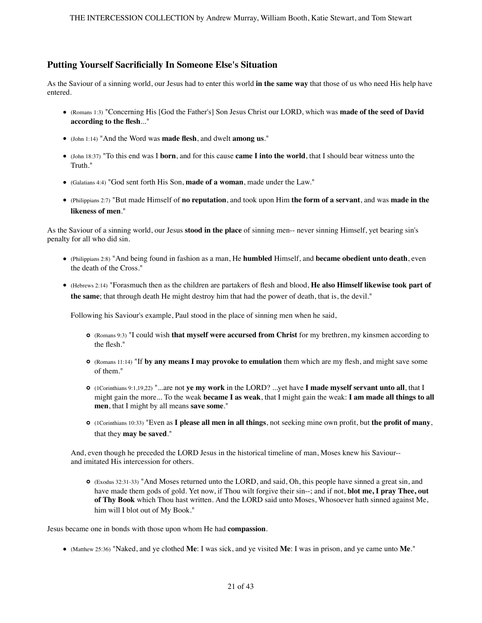## **Putting Yourself Sacrificially In Someone Else's Situation**

As the Saviour of a sinning world, our Jesus had to enter this world **in the same way** that those of us who need His help have entered.

- (Romans 1:3) "Concerning His [God the Father's] Son Jesus Christ our LORD, which was **made of the seed of David according to the flesh**..."
- (John 1:14) "And the Word was **made flesh**, and dwelt **among us**."
- (John 18:37) "To this end was I **born**, and for this cause **came I into the world**, that I should bear witness unto the Truth."
- (Galatians 4:4) "God sent forth His Son, **made of a woman**, made under the Law."
- (Philippians 2:7) "But made Himself of **no reputation**, and took upon Him **the form of a servant**, and was **made in the likeness of men**."

As the Saviour of a sinning world, our Jesus **stood in the place** of sinning men-- never sinning Himself, yet bearing sin's penalty for all who did sin.

- (Philippians 2:8) "And being found in fashion as a man, He **humbled** Himself, and **became obedient unto death**, even the death of the Cross."
- (Hebrews 2:14) "Forasmuch then as the children are partakers of flesh and blood, **He also Himself likewise took part of the same**; that through death He might destroy him that had the power of death, that is, the devil."

Following his Saviour's example, Paul stood in the place of sinning men when he said,

- (Romans 9:3) "I could wish **that myself were accursed from Christ** for my brethren, my kinsmen according to the flesh."
- (Romans 11:14) "If **by any means I may provoke to emulation** them which are my flesh, and might save some of them."
- (1Corinthians 9:1,19,22) "...are not **ye my work** in the LORD? ...yet have **I made myself servant unto all**, that I might gain the more... To the weak **became I as weak**, that I might gain the weak: **I am made all things to all men**, that I might by all means **save some**."
- (1Corinthians 10:33) "Even as **I please all men in all things**, not seeking mine own profit, but **the profit of many**, that they **may be saved**."

And, even though he preceded the LORD Jesus in the historical timeline of man, Moses knew his Saviour- and imitated His intercession for others.

(Exodus 32:31-33) "And Moses returned unto the LORD, and said, Oh, this people have sinned a great sin, and have made them gods of gold. Yet now, if Thou wilt forgive their sin--; and if not, **blot me, I pray Thee, out of Thy Book** which Thou hast written. And the LORD said unto Moses, Whosoever hath sinned against Me, him will I blot out of My Book."

Jesus became one in bonds with those upon whom He had **compassion**.

(Matthew 25:36) "Naked, and ye clothed **Me**: I was sick, and ye visited **Me**: I was in prison, and ye came unto **Me**."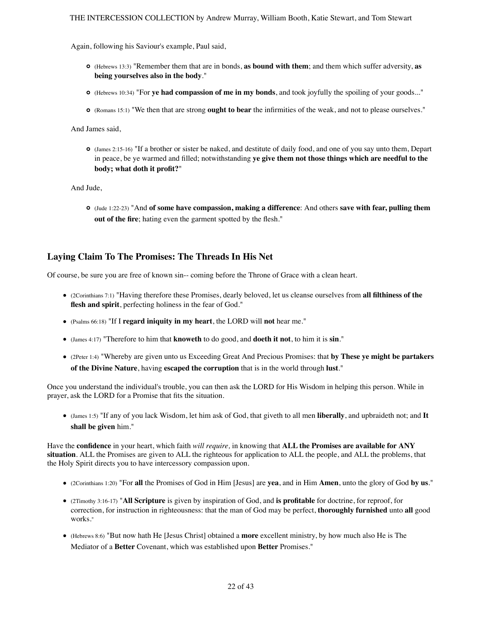Again, following his Saviour's example, Paul said,

- (Hebrews 13:3) "Remember them that are in bonds, **as bound with them**; and them which suffer adversity, **as being yourselves also in the body**."
- (Hebrews 10:34) "For **ye had compassion of me in my bonds**, and took joyfully the spoiling of your goods..."
- (Romans 15:1) "We then that are strong **ought to bear** the infirmities of the weak, and not to please ourselves."

And James said,

(James 2:15-16) "If a brother or sister be naked, and destitute of daily food, and one of you say unto them, Depart in peace, be ye warmed and filled; notwithstanding **ye give them not those things which are needful to the body; what doth it profit?**"

And Jude,

(Jude 1:22-23) "And **of some have compassion, making a difference**: And others **save with fear, pulling them out of the fire**; hating even the garment spotted by the flesh."

## **Laying Claim To The Promises: The Threads In His Net**

Of course, be sure you are free of known sin-- coming before the Throne of Grace with a clean heart.

- (2Corinthians 7:1) "Having therefore these Promises, dearly beloved, let us cleanse ourselves from **all filthiness of the flesh and spirit**, perfecting holiness in the fear of God."
- (Psalms 66:18) "If I **regard iniquity in my heart**, the LORD will **not** hear me."
- (James 4:17) "Therefore to him that **knoweth** to do good, and **doeth it not**, to him it is **sin**."
- (2Peter 1:4) "Whereby are given unto us Exceeding Great And Precious Promises: that **by These ye might be partakers of the Divine Nature**, having **escaped the corruption** that is in the world through **lust**."

Once you understand the individual's trouble, you can then ask the LORD for His Wisdom in helping this person. While in prayer, ask the LORD for a Promise that fits the situation.

(James 1:5) "If any of you lack Wisdom, let him ask of God, that giveth to all men **liberally**, and upbraideth not; and **It shall be given** him."

Have the **confidence** in your heart, which faith *will require,* in knowing that **ALL the Promises are available for ANY situation**. ALL the Promises are given to ALL the righteous for application to ALL the people, and ALL the problems, that the Holy Spirit directs you to have intercessory compassion upon.

- (2Corinthians 1:20) "For **all** the Promises of God in Him [Jesus] are **yea**, and in Him **Amen**, unto the glory of God **by us**."
- (2Timothy 3:16-17) "**All Scripture** is given by inspiration of God, and **is profitable** for doctrine, for reproof, for correction, for instruction in righteousness: that the man of God may be perfect, **thoroughly furnished** unto **all** good works."
- (Hebrews 8:6) "But now hath He [Jesus Christ] obtained a **more** excellent ministry, by how much also He is The Mediator of a **Better** Covenant, which was established upon **Better** Promises."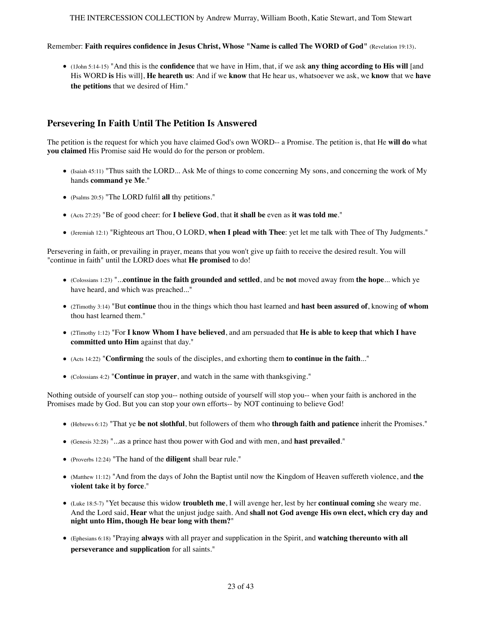Remember: **Faith requires confidence in Jesus Christ, Whose "Name is called The WORD of God"** (Revelation 19:13).

(1John 5:14-15) "And this is the **confidence** that we have in Him, that, if we ask **any thing according to His will** [and His WORD **is** His will], **He heareth us**: And if we **know** that He hear us, whatsoever we ask, we **know** that we **have the petitions** that we desired of Him."

## **Persevering In Faith Until The Petition Is Answered**

The petition is the request for which you have claimed God's own WORD-- a Promise. The petition is, that He **will do** what **you claimed** His Promise said He would do for the person or problem.

- (Isaiah 45:11) "Thus saith the LORD... Ask Me of things to come concerning My sons, and concerning the work of My hands **command ye Me**."
- (Psalms 20:5) "The LORD fulfil **all** thy petitions."
- (Acts 27:25) "Be of good cheer: for **I believe God**, that **it shall be** even as **it was told me**."
- (Jeremiah 12:1) "Righteous art Thou, O LORD, **when I plead with Thee**: yet let me talk with Thee of Thy Judgments."

Persevering in faith, or prevailing in prayer, means that you won't give up faith to receive the desired result. You will "continue in faith" until the LORD does what **He promised** to do!

- (Colossians 1:23) "...**continue in the faith grounded and settled**, and be **not** moved away from **the hope**... which ye have heard, and which was preached..."
- (2Timothy 3:14) "But **continue** thou in the things which thou hast learned and **hast been assured of**, knowing **of whom** thou hast learned them."
- (2Timothy 1:12) "For **I know Whom I have believed**, and am persuaded that **He is able to keep that which I have committed unto Him** against that day."
- (Acts 14:22) "**Confirming** the souls of the disciples, and exhorting them **to continue in the faith**..."
- (Colossians 4:2) "**Continue in prayer**, and watch in the same with thanksgiving."

Nothing outside of yourself can stop you-- nothing outside of yourself will stop you-- when your faith is anchored in the Promises made by God. But you can stop your own efforts-- by NOT continuing to believe God!

- (Hebrews 6:12) "That ye **be not slothful**, but followers of them who **through faith and patience** inherit the Promises."
- (Genesis 32:28) "...as a prince hast thou power with God and with men, and **hast prevailed**."
- (Proverbs 12:24) "The hand of the **diligent** shall bear rule."
- (Matthew 11:12) "And from the days of John the Baptist until now the Kingdom of Heaven suffereth violence, and **the violent take it by force**."
- (Luke 18:5-7) "Yet because this widow **troubleth me**, I will avenge her, lest by her **continual coming** she weary me. And the Lord said, **Hear** what the unjust judge saith. And **shall not God avenge His own elect, which cry day and night unto Him, though He bear long with them?**"
- (Ephesians 6:18) "Praying **always** with all prayer and supplication in the Spirit, and **watching thereunto with all perseverance and supplication** for all saints."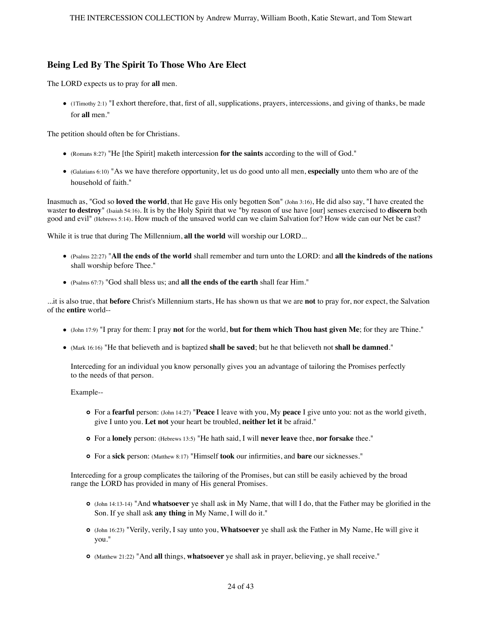## **Being Led By The Spirit To Those Who Are Elect**

The LORD expects us to pray for **all** men.

(1Timothy 2:1) "I exhort therefore, that, first of all, supplications, prayers, intercessions, and giving of thanks, be made for **all** men."

The petition should often be for Christians.

- (Romans 8:27) "He [the Spirit] maketh intercession **for the saints** according to the will of God."
- (Galatians 6:10) "As we have therefore opportunity, let us do good unto all men, **especially** unto them who are of the household of faith."

Inasmuch as, "God so **loved the world**, that He gave His only begotten Son" (John 3:16), He did also say, "I have created the waster **to destroy**" (Isaiah 54:16). It is by the Holy Spirit that we "by reason of use have [our] senses exercised to **discern** both good and evil" (Hebrews 5:14). How much of the unsaved world can we claim Salvation for? How wide can our Net be cast?

While it is true that during The Millennium, **all the world** will worship our LORD...

- (Psalms 22:27) "**All the ends of the world** shall remember and turn unto the LORD: and **all the kindreds of the nations** shall worship before Thee."
- (Psalms 67:7) "God shall bless us; and **all the ends of the earth** shall fear Him."

...it is also true, that **before** Christ's Millennium starts, He has shown us that we are **not** to pray for, nor expect, the Salvation of the **entire** world--

- (John 17:9) "I pray for them: I pray **not** for the world, **but for them which Thou hast given Me**; for they are Thine."
- (Mark 16:16) "He that believeth and is baptized **shall be saved**; but he that believeth not **shall be damned**."

Interceding for an individual you know personally gives you an advantage of tailoring the Promises perfectly to the needs of that person.

Example--

- For a **fearful** person: (John 14:27) "**Peace** I leave with you, My **peace** I give unto you: not as the world giveth, give I unto you. **Let not** your heart be troubled, **neither let it** be afraid."
- For a **lonely** person: (Hebrews 13:5) "He hath said, I will **never leave** thee, **nor forsake** thee."
- For a **sick** person: (Matthew 8:17) "Himself **took** our infirmities, and **bare** our sicknesses."

Interceding for a group complicates the tailoring of the Promises, but can still be easily achieved by the broad range the LORD has provided in many of His general Promises.

- (John 14:13-14) "And **whatsoever** ye shall ask in My Name, that will I do, that the Father may be glorified in the Son. If ye shall ask **any thing** in My Name, I will do it."
- (John 16:23) "Verily, verily, I say unto you, **Whatsoever** ye shall ask the Father in My Name, He will give it you."
- (Matthew 21:22) "And **all** things, **whatsoever** ye shall ask in prayer, believing, ye shall receive."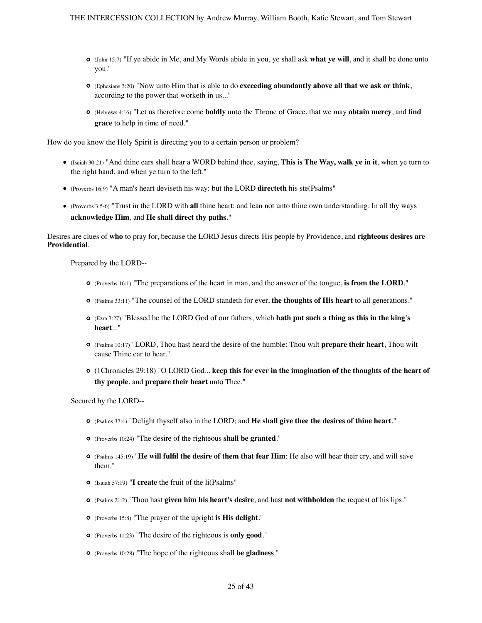- (John 15:7) "If ye abide in Me, and My Words abide in you, ye shall ask **what ye will**, and it shall be done unto you."
- (Ephesians 3:20) "Now unto Him that is able to do **exceeding abundantly above all that we ask or think**, according to the power that worketh in us..."
- (Hebrews 4:16) "Let us therefore come **boldly** unto the Throne of Grace, that we may **obtain mercy**, and **find grace** to help in time of need."

How do you know the Holy Spirit is directing you to a certain person or problem?

- (Isaiah 30:21) "And thine ears shall hear a WORD behind thee, saying, **This is The Way, walk ye in it**, when ye turn to the right hand, and when ye turn to the left."
- (Proverbs 16:9) "A man's heart deviseth his way: but the LORD **directeth** his ste(Psalms"
- (Proverbs 3:5-6) "Trust in the LORD with **all** thine heart; and lean not unto thine own understanding. In all thy ways **acknowledge Him**, and **He shall direct thy paths**."

Desires are clues of **who** to pray for, because the LORD Jesus directs His people by Providence, and **righteous desires are Providential**.

Prepared by the LORD--

- (Proverbs 16:1) "The preparations of the heart in man, and the answer of the tongue, **is from the LORD**."
- (Psalms 33:11) "The counsel of the LORD standeth for ever, **the thoughts of His heart** to all generations."
- (Ezra 7:27) "Blessed be the LORD God of our fathers, which **hath put such a thing as this in the king's heart**..."
- (Psalms 10:17) "LORD, Thou hast heard the desire of the humble: Thou wilt **prepare their heart**, Thou wilt cause Thine ear to hear."
- (1Chronicles 29:18) "O LORD God... **keep this for ever in the imagination of the thoughts of the heart of thy people**, and **prepare their heart** unto Thee."

Secured by the LORD--

- (Psalms 37:4) "Delight thyself also in the LORD; and **He shall give thee the desires of thine heart**."
- (Proverbs 10:24) "The desire of the righteous **shall be granted**."
- (Psalms 145:19) "**He will fulfil the desire of them that fear Him**: He also will hear their cry, and will save them."
- (Isaiah 57:19) "**I create** the fruit of the li(Psalms"
- (Psalms 21:2) "Thou hast **given him his heart's desire**, and hast **not withholden** the request of his lips."
- (Proverbs 15:8) "The prayer of the upright **is His delight**."
- (Proverbs 11:23) "The desire of the righteous is **only good**."
- (Proverbs 10:28) "The hope of the righteous shall **be gladness**."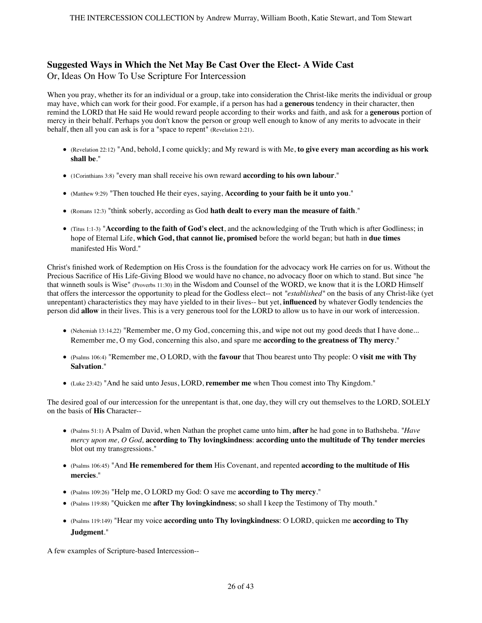## **Suggested Ways in Which the Net May Be Cast Over the Elect- A Wide Cast** Or, Ideas On How To Use Scripture For Intercession

When you pray, whether its for an individual or a group, take into consideration the Christ-like merits the individual or group may have, which can work for their good. For example, if a person has had a **generous** tendency in their character, then remind the LORD that He said He would reward people according to their works and faith, and ask for a **generous** portion of mercy in their behalf. Perhaps you don't know the person or group well enough to know of any merits to advocate in their behalf, then all you can ask is for a "space to repent" (Revelation 2:21).

- (Revelation 22:12) "And, behold, I come quickly; and My reward is with Me, **to give every man according as his work shall be**."
- (1Corinthians 3:8) "every man shall receive his own reward **according to his own labour**."
- (Matthew 9:29) "Then touched He their eyes, saying, **According to your faith be it unto you**."
- (Romans 12:3) "think soberly, according as God **hath dealt to every man the measure of faith**."
- (Titus 1:1-3) "**According to the faith of God's elect**, and the acknowledging of the Truth which is after Godliness; in hope of Eternal Life, **which God, that cannot lie, promised** before the world began; but hath in **due times** manifested His Word."

Christ's finished work of Redemption on His Cross is the foundation for the advocacy work He carries on for us. Without the Precious Sacrifice of His Life-Giving Blood we would have no chance, no advocacy floor on which to stand. But since "he that winneth souls is Wise" (Proverbs 11:30) in the Wisdom and Counsel of the WORD, we know that it is the LORD Himself that offers the intercessor the opportunity to plead for the Godless elect-- not *"established"* on the basis of any Christ-like (yet unrepentant) characteristics they may have yielded to in their lives-- but yet, **influenced** by whatever Godly tendencies the person did **allow** in their lives. This is a very generous tool for the LORD to allow us to have in our work of intercession.

- (Nehemiah 13:14,22) "Remember me, O my God, concerning this, and wipe not out my good deeds that I have done... Remember me, O my God, concerning this also, and spare me **according to the greatness of Thy mercy**."
- (Psalms 106:4) "Remember me, O LORD, with the **favour** that Thou bearest unto Thy people: O **visit me with Thy Salvation**."
- (Luke 23:42) "And he said unto Jesus, LORD, **remember me** when Thou comest into Thy Kingdom."

The desired goal of our intercession for the unrepentant is that, one day, they will cry out themselves to the LORD, SOLELY on the basis of **His** Character--

- (Psalms 51:1) A Psalm of David, when Nathan the prophet came unto him, **after** he had gone in to Bathsheba. *"Have mercy upon me, O God,* **according to Thy lovingkindness**: **according unto the multitude of Thy tender mercies** blot out my transgressions."
- (Psalms 106:45) "And **He remembered for them** His Covenant, and repented **according to the multitude of His mercies**."
- (Psalms 109:26) "Help me, O LORD my God: O save me **according to Thy mercy**."
- (Psalms 119:88) "Quicken me **after Thy lovingkindness**; so shall I keep the Testimony of Thy mouth."
- (Psalms 119:149) "Hear my voice **according unto Thy lovingkindness**: O LORD, quicken me **according to Thy Judgment**."

A few examples of Scripture-based Intercession--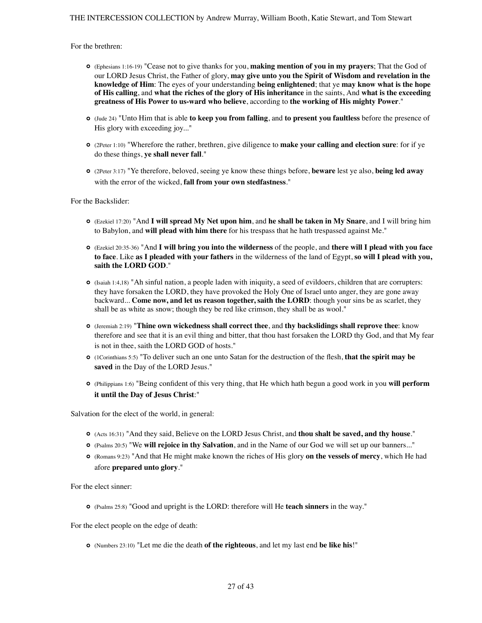For the brethren:

- (Ephesians 1:16-19) "Cease not to give thanks for you, **making mention of you in my prayers**; That the God of our LORD Jesus Christ, the Father of glory, **may give unto you the Spirit of Wisdom and revelation in the knowledge of Him**: The eyes of your understanding **being enlightened**; that ye **may know what is the hope of His calling**, and **what the riches of the glory of His inheritance** in the saints, And **what is the exceeding greatness of His Power to us-ward who believe**, according to **the working of His mighty Power**."
- (Jude 24) "Unto Him that is able **to keep you from falling**, and **to present you faultless** before the presence of His glory with exceeding joy..."
- (2Peter 1:10) "Wherefore the rather, brethren, give diligence to **make your calling and election sure**: for if ye do these things, **ye shall never fall**."
- (2Peter 3:17) "Ye therefore, beloved, seeing ye know these things before, **beware** lest ye also, **being led away** with the error of the wicked, **fall from your own stedfastness**."

For the Backslider:

- (Ezekiel 17:20) "And **I will spread My Net upon him**, and **he shall be taken in My Snare**, and I will bring him to Babylon, and **will plead with him there** for his trespass that he hath trespassed against Me."
- (Ezekiel 20:35-36) "And **I will bring you into the wilderness** of the people, and **there will I plead with you face to face**. Like **as I pleaded with your fathers** in the wilderness of the land of Egypt, **so will I plead with you, saith the LORD GOD**."
- (Isaiah 1:4,18) "Ah sinful nation, a people laden with iniquity, a seed of evildoers, children that are corrupters: they have forsaken the LORD, they have provoked the Holy One of Israel unto anger, they are gone away backward... **Come now, and let us reason together, saith the LORD**: though your sins be as scarlet, they shall be as white as snow; though they be red like crimson, they shall be as wool."
- (Jeremiah 2:19) "**Thine own wickedness shall correct thee**, and **thy backslidings shall reprove thee**: know therefore and see that it is an evil thing and bitter, that thou hast forsaken the LORD thy God, and that My fear is not in thee, saith the LORD GOD of hosts."
- (1Corinthians 5:5) "To deliver such an one unto Satan for the destruction of the flesh, **that the spirit may be saved** in the Day of the LORD Jesus."
- (Philippians 1:6) "Being confident of this very thing, that He which hath begun a good work in you **will perform it until the Day of Jesus Christ**:"

Salvation for the elect of the world, in general:

- (Acts 16:31) "And they said, Believe on the LORD Jesus Christ, and **thou shalt be saved, and thy house**."
- (Psalms 20:5) "We **will rejoice in thy Salvation**, and in the Name of our God we will set up our banners..."
- (Romans 9:23) "And that He might make known the riches of His glory **on the vessels of mercy**, which He had afore **prepared unto glory**."

For the elect sinner:

(Psalms 25:8) "Good and upright is the LORD: therefore will He **teach sinners** in the way."

For the elect people on the edge of death:

(Numbers 23:10) "Let me die the death **of the righteous**, and let my last end **be like his**!"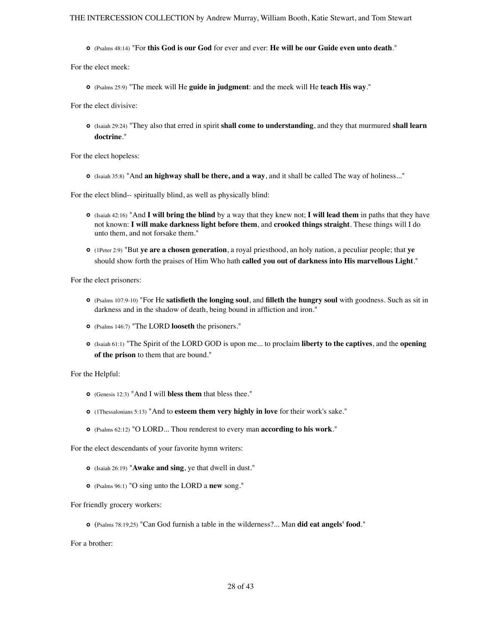(Psalms 48:14) "For **this God is our God** for ever and ever: **He will be our Guide even unto death**."

For the elect meek:

(Psalms 25:9) "The meek will He **guide in judgment**: and the meek will He **teach His way**."

For the elect divisive:

(Isaiah 29:24) "They also that erred in spirit **shall come to understanding**, and they that murmured **shall learn doctrine**."

For the elect hopeless:

(Isaiah 35:8) "And **an highway shall be there, and a way**, and it shall be called The way of holiness..."

For the elect blind-- spiritually blind, as well as physically blind:

- (Isaiah 42:16) "And **I will bring the blind** by a way that they knew not; **I will lead them** in paths that they have not known: **I will make darkness light before them**, and **crooked things straight**. These things will I do unto them, and not forsake them."
- (1Peter 2:9) "But **ye are a chosen generation**, a royal priesthood, an holy nation, a peculiar people; that **ye** should show forth the praises of Him Who hath **called you out of darkness into His marvellous Light**."

For the elect prisoners:

- (Psalms 107:9-10) "For He **satisfieth the longing soul**, and **filleth the hungry soul** with goodness. Such as sit in darkness and in the shadow of death, being bound in affliction and iron."
- (Psalms 146:7) "The LORD **looseth** the prisoners."
- (Isaiah 61:1) "The Spirit of the LORD GOD is upon me... to proclaim **liberty to the captives**, and the **opening of the prison** to them that are bound."

#### For the Helpful:

- (Genesis 12:3) "And I will **bless them** that bless thee."
- (1Thessalonians 5:13) "And to **esteem them very highly in love** for their work's sake."
- (Psalms 62:12) "O LORD... Thou renderest to every man **according to his work**."

For the elect descendants of your favorite hymn writers:

- (Isaiah 26:19) "**Awake and sing**, ye that dwell in dust."
- (Psalms 96:1) "O sing unto the LORD a **new** song."

#### For friendly grocery workers:

(Psalms 78:19,25) "Can God furnish a table in the wilderness?... Man **did eat angels' food**."

For a brother: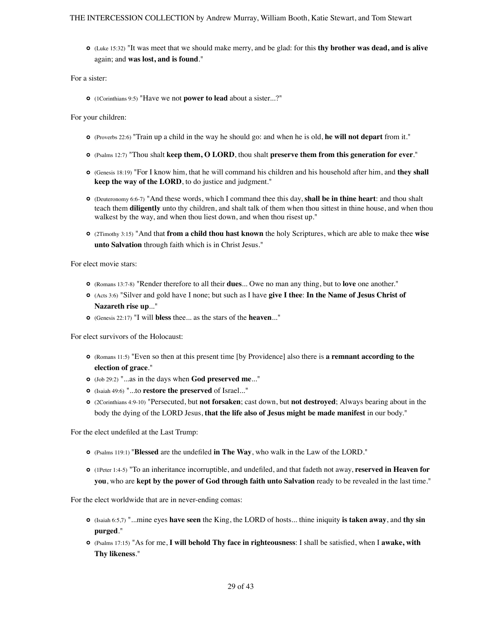(Luke 15:32) "It was meet that we should make merry, and be glad: for this **thy brother was dead, and is alive** again; and **was lost, and is found**."

#### For a sister:

(1Corinthians 9:5) "Have we not **power to lead** about a sister...?"

#### For your children:

- (Proverbs 22:6) "Train up a child in the way he should go: and when he is old, **he will not depart** from it."
- (Psalms 12:7) "Thou shalt **keep them, O LORD**, thou shalt **preserve them from this generation for ever**."
- (Genesis 18:19) "For I know him, that he will command his children and his household after him, and **they shall keep the way of the LORD**, to do justice and judgment."
- (Deuteronomy 6:6-7) "And these words, which I command thee this day, **shall be in thine heart**: and thou shalt teach them **diligently** unto thy children, and shalt talk of them when thou sittest in thine house, and when thou walkest by the way, and when thou liest down, and when thou risest up."
- (2Timothy 3:15) "And that **from a child thou hast known** the holy Scriptures, which are able to make thee **wise unto Salvation** through faith which is in Christ Jesus."

For elect movie stars:

- (Romans 13:7-8) "Render therefore to all their **dues**... Owe no man any thing, but to **love** one another."
- (Acts 3:6) "Silver and gold have I none; but such as I have **give I thee**: **In the Name of Jesus Christ of Nazareth rise up**..."
- (Genesis 22:17) "I will **bless** thee... as the stars of the **heaven**..."

For elect survivors of the Holocaust:

- (Romans 11:5) "Even so then at this present time [by Providence] also there is **a remnant according to the election of grace**."
- (Job 29:2) "...as in the days when **God preserved me**..."
- (Isaiah 49:6) "...to **restore the preserved** of Israel..."
- (2Corinthians 4:9-10) "Persecuted, but **not forsaken**; cast down, but **not destroyed**; Always bearing about in the body the dying of the LORD Jesus, **that the life also of Jesus might be made manifest** in our body."

For the elect undefiled at the Last Trump:

- (Psalms 119:1) "**Blessed** are the undefiled **in The Way**, who walk in the Law of the LORD."
- (1Peter 1:4-5) "To an inheritance incorruptible, and undefiled, and that fadeth not away, **reserved in Heaven for you**, who are **kept by the power of God through faith unto Salvation** ready to be revealed in the last time."

For the elect worldwide that are in never-ending comas:

- (Isaiah 6:5,7) "...mine eyes **have seen** the King, the LORD of hosts... thine iniquity **is taken away**, and **thy sin purged**."
- (Psalms 17:15) "As for me, **I will behold Thy face in righteousness**: I shall be satisfied, when I **awake, with Thy likeness**."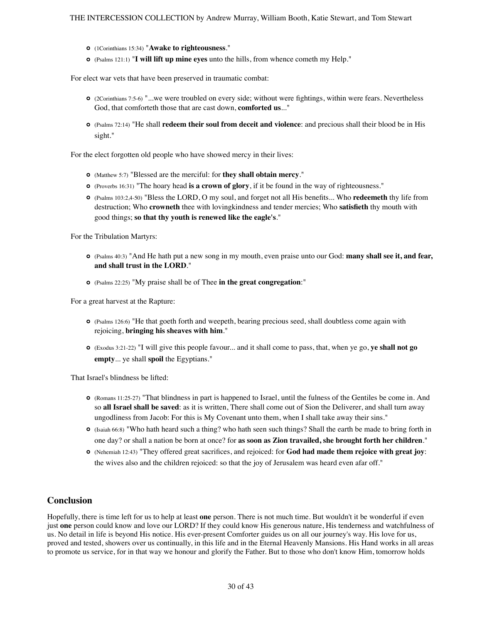- (1Corinthians 15:34) "**Awake to righteousness**."
- (Psalms 121:1) "**I will lift up mine eyes** unto the hills, from whence cometh my Help."

For elect war vets that have been preserved in traumatic combat:

- (2Corinthians 7:5-6) "...we were troubled on every side; without were fightings, within were fears. Nevertheless God, that comforteth those that are cast down, **comforted us**..."
- (Psalms 72:14) "He shall **redeem their soul from deceit and violence**: and precious shall their blood be in His sight."

For the elect forgotten old people who have showed mercy in their lives:

- (Matthew 5:7) "Blessed are the merciful: for **they shall obtain mercy**."
- (Proverbs 16:31) "The hoary head **is a crown of glory**, if it be found in the way of righteousness."
- (Psalms 103:2,4-50) "Bless the LORD, O my soul, and forget not all His benefits... Who **redeemeth** thy life from destruction; Who **crowneth** thee with lovingkindness and tender mercies; Who **satisfieth** thy mouth with good things; **so that thy youth is renewed like the eagle's**."

For the Tribulation Martyrs:

- (Psalms 40:3) "And He hath put a new song in my mouth, even praise unto our God: **many shall see it, and fear, and shall trust in the LORD**."
- (Psalms 22:25) "My praise shall be of Thee **in the great congregation**:"

For a great harvest at the Rapture:

- (Psalms 126:6) "He that goeth forth and weepeth, bearing precious seed, shall doubtless come again with rejoicing, **bringing his sheaves with him**."
- (Exodus 3:21-22) "I will give this people favour... and it shall come to pass, that, when ye go, **ye shall not go empty**... ye shall **spoil** the Egyptians."

That Israel's blindness be lifted:

- (Romans 11:25-27) "That blindness in part is happened to Israel, until the fulness of the Gentiles be come in. And so **all Israel shall be saved**: as it is written, There shall come out of Sion the Deliverer, and shall turn away ungodliness from Jacob: For this is My Covenant unto them, when I shall take away their sins."
- (Isaiah 66:8) "Who hath heard such a thing? who hath seen such things? Shall the earth be made to bring forth in one day? or shall a nation be born at once? for **as soon as Zion travailed, she brought forth her children**."
- (Nehemiah 12:43) "They offered great sacrifices, and rejoiced: for **God had made them rejoice with great joy**: the wives also and the children rejoiced: so that the joy of Jerusalem was heard even afar off."

## **Conclusion**

Hopefully, there is time left for us to help at least **one** person. There is not much time. But wouldn't it be wonderful if even just **one** person could know and love our LORD? If they could know His generous nature, His tenderness and watchfulness of us. No detail in life is beyond His notice. His ever-present Comforter guides us on all our journey's way. His love for us, proved and tested, showers over us continually, in this life and in the Eternal Heavenly Mansions. His Hand works in all areas to promote us service, for in that way we honour and glorify the Father. But to those who don't know Him, tomorrow holds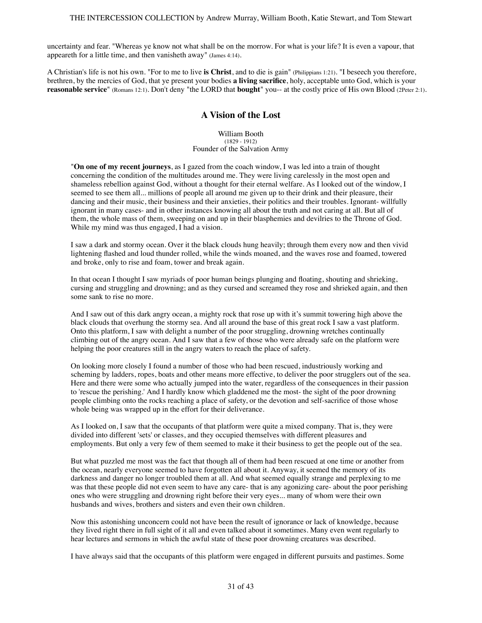uncertainty and fear. "Whereas ye know not what shall be on the morrow. For what is your life? It is even a vapour, that appeareth for a little time, and then vanisheth away" (James 4:14).

A Christian's life is not his own. "For to me to live **is Christ**, and to die is gain" (Philippians 1:21). "I beseech you therefore, brethren, by the mercies of God, that ye present your bodies **a living sacrifice**, holy, acceptable unto God, which is your **reasonable service**" (Romans 12:1). Don't deny "the LORD that **bought**" you-- at the costly price of His own Blood (2Peter 2:1).

## **A Vision of the Lost**

William Booth (1829 - 1912) Founder of the Salvation Army

"**On one of my recent journeys**, as I gazed from the coach window, I was led into a train of thought concerning the condition of the multitudes around me. They were living carelessly in the most open and shameless rebellion against God, without a thought for their eternal welfare. As I looked out of the window, I seemed to see them all... millions of people all around me given up to their drink and their pleasure, their dancing and their music, their business and their anxieties, their politics and their troubles. Ignorant- willfully ignorant in many cases- and in other instances knowing all about the truth and not caring at all. But all of them, the whole mass of them, sweeping on and up in their blasphemies and devilries to the Throne of God. While my mind was thus engaged, I had a vision.

I saw a dark and stormy ocean. Over it the black clouds hung heavily; through them every now and then vivid lightening flashed and loud thunder rolled, while the winds moaned, and the waves rose and foamed, towered and broke, only to rise and foam, tower and break again.

In that ocean I thought I saw myriads of poor human beings plunging and floating, shouting and shrieking, cursing and struggling and drowning; and as they cursed and screamed they rose and shrieked again, and then some sank to rise no more.

And I saw out of this dark angry ocean, a mighty rock that rose up with it's summit towering high above the black clouds that overhung the stormy sea. And all around the base of this great rock I saw a vast platform. Onto this platform, I saw with delight a number of the poor struggling, drowning wretches continually climbing out of the angry ocean. And I saw that a few of those who were already safe on the platform were helping the poor creatures still in the angry waters to reach the place of safety.

On looking more closely I found a number of those who had been rescued, industriously working and scheming by ladders, ropes, boats and other means more effective, to deliver the poor strugglers out of the sea. Here and there were some who actually jumped into the water, regardless of the consequences in their passion to 'rescue the perishing.' And I hardly know which gladdened me the most- the sight of the poor drowning people climbing onto the rocks reaching a place of safety, or the devotion and self-sacrifice of those whose whole being was wrapped up in the effort for their deliverance.

As I looked on, I saw that the occupants of that platform were quite a mixed company. That is, they were divided into different 'sets' or classes, and they occupied themselves with different pleasures and employments. But only a very few of them seemed to make it their business to get the people out of the sea.

But what puzzled me most was the fact that though all of them had been rescued at one time or another from the ocean, nearly everyone seemed to have forgotten all about it. Anyway, it seemed the memory of its darkness and danger no longer troubled them at all. And what seemed equally strange and perplexing to me was that these people did not even seem to have any care- that is any agonizing care- about the poor perishing ones who were struggling and drowning right before their very eyes... many of whom were their own husbands and wives, brothers and sisters and even their own children.

Now this astonishing unconcern could not have been the result of ignorance or lack of knowledge, because they lived right there in full sight of it all and even talked about it sometimes. Many even went regularly to hear lectures and sermons in which the awful state of these poor drowning creatures was described.

I have always said that the occupants of this platform were engaged in different pursuits and pastimes. Some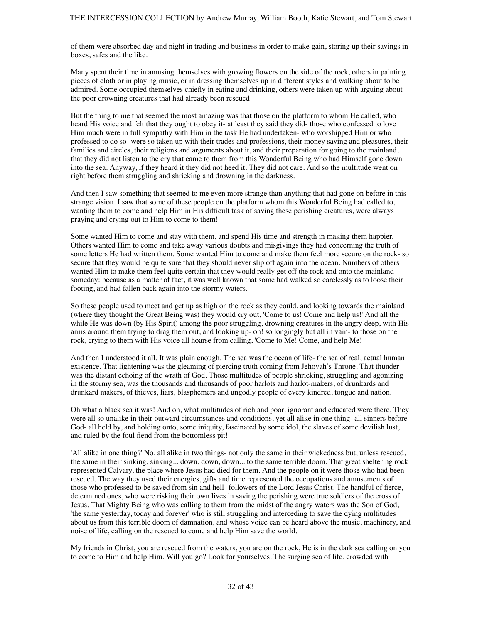of them were absorbed day and night in trading and business in order to make gain, storing up their savings in boxes, safes and the like.

Many spent their time in amusing themselves with growing flowers on the side of the rock, others in painting pieces of cloth or in playing music, or in dressing themselves up in different styles and walking about to be admired. Some occupied themselves chiefly in eating and drinking, others were taken up with arguing about the poor drowning creatures that had already been rescued.

But the thing to me that seemed the most amazing was that those on the platform to whom He called, who heard His voice and felt that they ought to obey it- at least they said they did- those who confessed to love Him much were in full sympathy with Him in the task He had undertaken- who worshipped Him or who professed to do so- were so taken up with their trades and professions, their money saving and pleasures, their families and circles, their religions and arguments about it, and their preparation for going to the mainland, that they did not listen to the cry that came to them from this Wonderful Being who had Himself gone down into the sea. Anyway, if they heard it they did not heed it. They did not care. And so the multitude went on right before them struggling and shrieking and drowning in the darkness.

And then I saw something that seemed to me even more strange than anything that had gone on before in this strange vision. I saw that some of these people on the platform whom this Wonderful Being had called to, wanting them to come and help Him in His difficult task of saving these perishing creatures, were always praying and crying out to Him to come to them!

Some wanted Him to come and stay with them, and spend His time and strength in making them happier. Others wanted Him to come and take away various doubts and misgivings they had concerning the truth of some letters He had written them. Some wanted Him to come and make them feel more secure on the rock- so secure that they would be quite sure that they should never slip off again into the ocean. Numbers of others wanted Him to make them feel quite certain that they would really get off the rock and onto the mainland someday: because as a matter of fact, it was well known that some had walked so carelessly as to loose their footing, and had fallen back again into the stormy waters.

So these people used to meet and get up as high on the rock as they could, and looking towards the mainland (where they thought the Great Being was) they would cry out, 'Come to us! Come and help us!' And all the while He was down (by His Spirit) among the poor struggling, drowning creatures in the angry deep, with His arms around them trying to drag them out, and looking up- oh! so longingly but all in vain- to those on the rock, crying to them with His voice all hoarse from calling, 'Come to Me! Come, and help Me!

And then I understood it all. It was plain enough. The sea was the ocean of life- the sea of real, actual human existence. That lightening was the gleaming of piercing truth coming from Jehovah's Throne. That thunder was the distant echoing of the wrath of God. Those multitudes of people shrieking, struggling and agonizing in the stormy sea, was the thousands and thousands of poor harlots and harlot-makers, of drunkards and drunkard makers, of thieves, liars, blasphemers and ungodly people of every kindred, tongue and nation.

Oh what a black sea it was! And oh, what multitudes of rich and poor, ignorant and educated were there. They were all so unalike in their outward circumstances and conditions, yet all alike in one thing- all sinners before God- all held by, and holding onto, some iniquity, fascinated by some idol, the slaves of some devilish lust, and ruled by the foul fiend from the bottomless pit!

'All alike in one thing?' No, all alike in two things- not only the same in their wickedness but, unless rescued, the same in their sinking, sinking... down, down, down... to the same terrible doom. That great sheltering rock represented Calvary, the place where Jesus had died for them. And the people on it were those who had been rescued. The way they used their energies, gifts and time represented the occupations and amusements of those who professed to be saved from sin and hell- followers of the Lord Jesus Christ. The handful of fierce, determined ones, who were risking their own lives in saving the perishing were true soldiers of the cross of Jesus. That Mighty Being who was calling to them from the midst of the angry waters was the Son of God, 'the same yesterday, today and forever' who is still struggling and interceding to save the dying multitudes about us from this terrible doom of damnation, and whose voice can be heard above the music, machinery, and noise of life, calling on the rescued to come and help Him save the world.

My friends in Christ, you are rescued from the waters, you are on the rock, He is in the dark sea calling on you to come to Him and help Him. Will you go? Look for yourselves. The surging sea of life, crowded with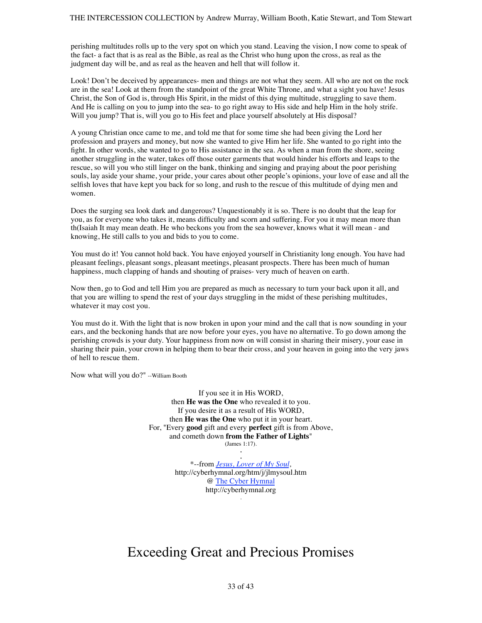perishing multitudes rolls up to the very spot on which you stand. Leaving the vision, I now come to speak of the fact- a fact that is as real as the Bible, as real as the Christ who hung upon the cross, as real as the judgment day will be, and as real as the heaven and hell that will follow it.

Look! Don't be deceived by appearances- men and things are not what they seem. All who are not on the rock are in the sea! Look at them from the standpoint of the great White Throne, and what a sight you have! Jesus Christ, the Son of God is, through His Spirit, in the midst of this dying multitude, struggling to save them. And He is calling on you to jump into the sea- to go right away to His side and help Him in the holy strife. Will you jump? That is, will you go to His feet and place yourself absolutely at His disposal?

A young Christian once came to me, and told me that for some time she had been giving the Lord her profession and prayers and money, but now she wanted to give Him her life. She wanted to go right into the fight. In other words, she wanted to go to His assistance in the sea. As when a man from the shore, seeing another struggling in the water, takes off those outer garments that would hinder his efforts and leaps to the rescue, so will you who still linger on the bank, thinking and singing and praying about the poor perishing souls, lay aside your shame, your pride, your cares about other people's opinions, your love of ease and all the selfish loves that have kept you back for so long, and rush to the rescue of this multitude of dying men and women.

Does the surging sea look dark and dangerous? Unquestionably it is so. There is no doubt that the leap for you, as for everyone who takes it, means difficulty and scorn and suffering. For you it may mean more than th(Isaiah It may mean death. He who beckons you from the sea however, knows what it will mean - and knowing, He still calls to you and bids to you to come.

You must do it! You cannot hold back. You have enjoyed yourself in Christianity long enough. You have had pleasant feelings, pleasant songs, pleasant meetings, pleasant prospects. There has been much of human happiness, much clapping of hands and shouting of praises- very much of heaven on earth.

Now then, go to God and tell Him you are prepared as much as necessary to turn your back upon it all, and that you are willing to spend the rest of your days struggling in the midst of these perishing multitudes, whatever it may cost you.

You must do it. With the light that is now broken in upon your mind and the call that is now sounding in your ears, and the beckoning hands that are now before your eyes, you have no alternative. To go down among the perishing crowds is your duty. Your happiness from now on will consist in sharing their misery, your ease in sharing their pain, your crown in helping them to bear their cross, and your heaven in going into the very jaws of hell to rescue them.

Now what will you do?" --William Booth

If you see it in His WORD, then **He was the One** who revealed it to you. If you desire it as a result of His WORD, then **He was the One** who put it in your heart. For, "Every **good** gift and every **perfect** gift is from Above, and cometh down **from the Father of Lights**" (James 1:17). **.**

> **.** \*--from *Jesus, Lover of My Soul,* http://cyberhymnal.org/htm/j/jlmysoul.htm @ The Cyber Hymnal http://cyberhymnal.org .

## Exceeding Great and Precious Promises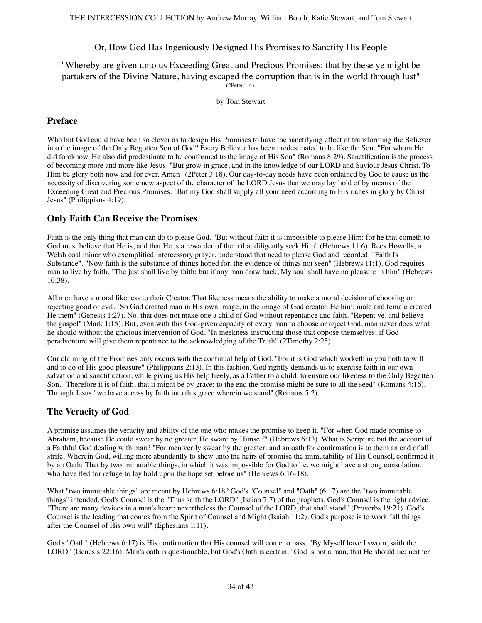## Or, How God Has Ingeniously Designed His Promises to Sanctify His People

"Whereby are given unto us Exceeding Great and Precious Promises: that by these ye might be partakers of the Divine Nature, having escaped the corruption that is in the world through lust" (2Peter 1:4).

by Tom Stewart

## **Preface**

Who but God could have been so clever as to design His Promises to have the sanctifying effect of transforming the Believer into the image of the Only Begotten Son of God? Every Believer has been predestinated to be like the Son. "For whom He did foreknow, He also did predestinate to be conformed to the image of His Son" (Romans 8:29). Sanctification is the process of becoming more and more like Jesus. "But grow in grace, and in the knowledge of our LORD and Saviour Jesus Christ. To Him be glory both now and for ever. Amen" (2Peter 3:18). Our day-to-day needs have been ordained by God to cause us the necessity of discovering some new aspect of the character of the LORD Jesus that we may lay hold of by means of the Exceeding Great and Precious Promises. "But my God shall supply all your need according to His riches in glory by Christ Jesus" (Philippians 4:19).

## **Only Faith Can Receive the Promises**

Faith is the only thing that man can do to please God. "But without faith it is impossible to please Him: for he that cometh to God must believe that He is, and that He is a rewarder of them that diligently seek Him" (Hebrews 11:6). Rees Howells, a Welsh coal miner who exemplified intercessory prayer, understood that need to please God and recorded: "Faith Is Substance". "Now faith is the substance of things hoped for, the evidence of things not seen" (Hebrews 11:1). God requires man to live by faith. "The just shall live by faith: but if any man draw back, My soul shall have no pleasure in him" (Hebrews 10:38).

All men have a moral likeness to their Creator. That likeness means the ability to make a moral decision of choosing or rejecting good or evil. "So God created man in His own image, in the image of God created He him; male and female created He them" (Genesis 1:27). No, that does not make one a child of God without repentance and faith. "Repent ye, and believe the gospel" (Mark 1:15). But, even with this God-given capacity of every man to choose or reject God, man never does what he should without the gracious intervention of God. "In meekness instructing those that oppose themselves; if God peradventure will give them repentance to the acknowledging of the Truth" (2Timothy 2:25).

Our claiming of the Promises only occurs with the continual help of God. "For it is God which worketh in you both to will and to do of His good pleasure" (Philippians 2:13). In this fashion, God rightly demands us to exercise faith in our own salvation and sanctification, while giving us His help freely, as a Father to a child, to ensure our likeness to the Only Begotten Son. "Therefore it is of faith, that it might be by grace; to the end the promise might be sure to all the seed" (Romans 4:16). Through Jesus "we have access by faith into this grace wherein we stand" (Romans 5:2).

## **The Veracity of God**

A promise assumes the veracity and ability of the one who makes the promise to keep it. "For when God made promise to Abraham, because He could swear by no greater, He sware by Himself" (Hebrews 6:13). What is Scripture but the account of a Faithful God dealing with man? "For men verily swear by the greater: and an oath for confirmation is to them an end of all strife. Wherein God, willing more abundantly to shew unto the heirs of promise the immutability of His Counsel, confirmed it by an Oath: That by two immutable things, in which it was impossible for God to lie, we might have a strong consolation, who have fled for refuge to lay hold upon the hope set before us" (Hebrews 6:16-18).

What "two immutable things" are meant by Hebrews 6:18? God's "Counsel" and "Oath" (6:17) are the "two immutable things" intended. God's Counsel is the "Thus saith the LORD" (Isaiah 7:7) of the prophets. God's Counsel is the right advice. "There are many devices in a man's heart; nevertheless the Counsel of the LORD, that shall stand" (Proverbs 19:21). God's Counsel is the leading that comes from the Spirit of Counsel and Might (Isaiah 11:2). God's purpose is to work "all things after the Counsel of His own will" (Ephesians 1:11).

God's "Oath" (Hebrews 6:17) is His confirmation that His counsel will come to pass. "By Myself have I sworn, saith the LORD" (Genesis 22:16). Man's oath is questionable, but God's Oath is certain. "God is not a man, that He should lie; neither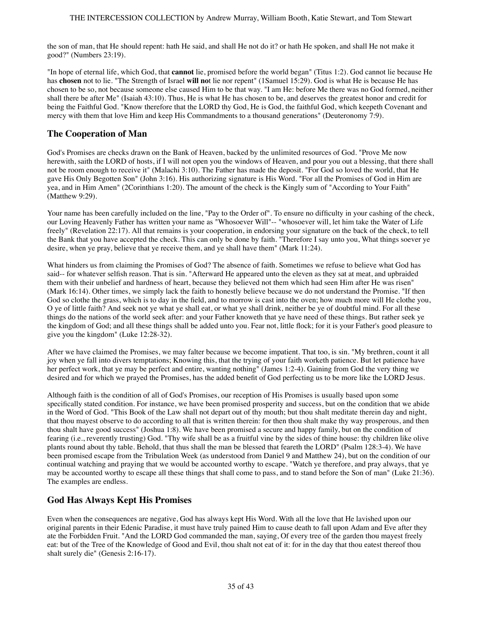the son of man, that He should repent: hath He said, and shall He not do it? or hath He spoken, and shall He not make it good?" (Numbers 23:19).

"In hope of eternal life, which God, that **cannot** lie, promised before the world began" (Titus 1:2). God cannot lie because He has **chosen** not to lie. "The Strength of Israel **will no**t lie nor repent" (1Samuel 15:29). God is what He is because He has chosen to be so, not because someone else caused Him to be that way. "I am He: before Me there was no God formed, neither shall there be after Me" (Isaiah 43:10). Thus, He is what He has chosen to be, and deserves the greatest honor and credit for being the Faithful God. "Know therefore that the LORD thy God, He is God, the faithful God, which keepeth Covenant and mercy with them that love Him and keep His Commandments to a thousand generations" (Deuteronomy 7:9).

## **The Cooperation of Man**

God's Promises are checks drawn on the Bank of Heaven, backed by the unlimited resources of God. "Prove Me now herewith, saith the LORD of hosts, if I will not open you the windows of Heaven, and pour you out a blessing, that there shall not be room enough to receive it" (Malachi 3:10). The Father has made the deposit. "For God so loved the world, that He gave His Only Begotten Son" (John 3:16). His authorizing signature is His Word. "For all the Promises of God in Him are yea, and in Him Amen" (2Corinthians 1:20). The amount of the check is the Kingly sum of "According to Your Faith" (Matthew 9:29).

Your name has been carefully included on the line, "Pay to the Order of". To ensure no difficulty in your cashing of the check, our Loving Heavenly Father has written your name as "Whosoever Will"-- "whosoever will, let him take the Water of Life freely" (Revelation 22:17). All that remains is your cooperation, in endorsing your signature on the back of the check, to tell the Bank that you have accepted the check. This can only be done by faith. "Therefore I say unto you, What things soever ye desire, when ye pray, believe that ye receive them, and ye shall have them" (Mark 11:24).

What hinders us from claiming the Promises of God? The absence of faith. Sometimes we refuse to believe what God has said-- for whatever selfish reason. That is sin. "Afterward He appeared unto the eleven as they sat at meat, and upbraided them with their unbelief and hardness of heart, because they believed not them which had seen Him after He was risen" (Mark 16:14). Other times, we simply lack the faith to honestly believe because we do not understand the Promise. "If then God so clothe the grass, which is to day in the field, and to morrow is cast into the oven; how much more will He clothe you, O ye of little faith? And seek not ye what ye shall eat, or what ye shall drink, neither be ye of doubtful mind. For all these things do the nations of the world seek after: and your Father knoweth that ye have need of these things. But rather seek ye the kingdom of God; and all these things shall be added unto you. Fear not, little flock; for it is your Father's good pleasure to give you the kingdom" (Luke 12:28-32).

After we have claimed the Promises, we may falter because we become impatient. That too, is sin. "My brethren, count it all joy when ye fall into divers temptations; Knowing this, that the trying of your faith worketh patience. But let patience have her perfect work, that ye may be perfect and entire, wanting nothing" (James 1:2-4). Gaining from God the very thing we desired and for which we prayed the Promises, has the added benefit of God perfecting us to be more like the LORD Jesus.

Although faith is the condition of all of God's Promises, our reception of His Promises is usually based upon some specifically stated condition. For instance, we have been promised prosperity and success, but on the condition that we abide in the Word of God. "This Book of the Law shall not depart out of thy mouth; but thou shalt meditate therein day and night, that thou mayest observe to do according to all that is written therein: for then thou shalt make thy way prosperous, and then thou shalt have good success" (Joshua 1:8). We have been promised a secure and happy family, but on the condition of fearing (i.e., reverently trusting) God. "Thy wife shall be as a fruitful vine by the sides of thine house: thy children like olive plants round about thy table. Behold, that thus shall the man be blessed that feareth the LORD" (Psalm 128:3-4). We have been promised escape from the Tribulation Week (as understood from Daniel 9 and Matthew 24), but on the condition of our continual watching and praying that we would be accounted worthy to escape. "Watch ye therefore, and pray always, that ye may be accounted worthy to escape all these things that shall come to pass, and to stand before the Son of man" (Luke 21:36). The examples are endless.

## **God Has Always Kept His Promises**

Even when the consequences are negative, God has always kept His Word. With all the love that He lavished upon our original parents in their Edenic Paradise, it must have truly pained Him to cause death to fall upon Adam and Eve after they ate the Forbidden Fruit. "And the LORD God commanded the man, saying, Of every tree of the garden thou mayest freely eat: but of the Tree of the Knowledge of Good and Evil, thou shalt not eat of it: for in the day that thou eatest thereof thou shalt surely die" (Genesis 2:16-17).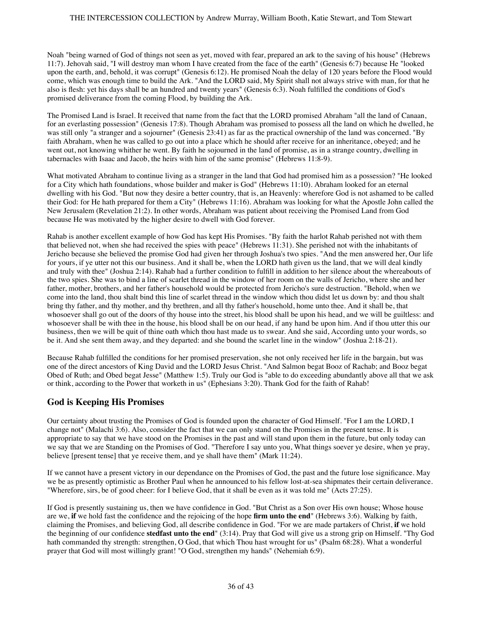Noah "being warned of God of things not seen as yet, moved with fear, prepared an ark to the saving of his house" (Hebrews 11:7). Jehovah said, "I will destroy man whom I have created from the face of the earth" (Genesis 6:7) because He "looked upon the earth, and, behold, it was corrupt" (Genesis 6:12). He promised Noah the delay of 120 years before the Flood would come, which was enough time to build the Ark. "And the LORD said, My Spirit shall not always strive with man, for that he also is flesh: yet his days shall be an hundred and twenty years" (Genesis 6:3). Noah fulfilled the conditions of God's promised deliverance from the coming Flood, by building the Ark.

The Promised Land is Israel. It received that name from the fact that the LORD promised Abraham "all the land of Canaan, for an everlasting possession" (Genesis 17:8). Though Abraham was promised to possess all the land on which he dwelled, he was still only "a stranger and a sojourner" (Genesis 23:41) as far as the practical ownership of the land was concerned. "By faith Abraham, when he was called to go out into a place which he should after receive for an inheritance, obeyed; and he went out, not knowing whither he went. By faith he sojourned in the land of promise, as in a strange country, dwelling in tabernacles with Isaac and Jacob, the heirs with him of the same promise" (Hebrews 11:8-9).

What motivated Abraham to continue living as a stranger in the land that God had promised him as a possession? "He looked for a City which hath foundations, whose builder and maker is God" (Hebrews 11:10). Abraham looked for an eternal dwelling with his God. "But now they desire a better country, that is, an Heavenly: wherefore God is not ashamed to be called their God: for He hath prepared for them a City" (Hebrews 11:16). Abraham was looking for what the Apostle John called the New Jerusalem (Revelation 21:2). In other words, Abraham was patient about receiving the Promised Land from God because He was motivated by the higher desire to dwell with God forever.

Rahab is another excellent example of how God has kept His Promises. "By faith the harlot Rahab perished not with them that believed not, when she had received the spies with peace" (Hebrews 11:31). She perished not with the inhabitants of Jericho because she believed the promise God had given her through Joshua's two spies. "And the men answered her, Our life for yours, if ye utter not this our business. And it shall be, when the LORD hath given us the land, that we will deal kindly and truly with thee" (Joshua 2:14). Rahab had a further condition to fulfill in addition to her silence about the whereabouts of the two spies. She was to bind a line of scarlet thread in the window of her room on the walls of Jericho, where she and her father, mother, brothers, and her father's household would be protected from Jericho's sure destruction. "Behold, when we come into the land, thou shalt bind this line of scarlet thread in the window which thou didst let us down by: and thou shalt bring thy father, and thy mother, and thy brethren, and all thy father's household, home unto thee. And it shall be, that whosoever shall go out of the doors of thy house into the street, his blood shall be upon his head, and we will be guiltless: and whosoever shall be with thee in the house, his blood shall be on our head, if any hand be upon him. And if thou utter this our business, then we will be quit of thine oath which thou hast made us to swear. And she said, According unto your words, so be it. And she sent them away, and they departed: and she bound the scarlet line in the window" (Joshua 2:18-21).

Because Rahab fulfilled the conditions for her promised preservation, she not only received her life in the bargain, but was one of the direct ancestors of King David and the LORD Jesus Christ. "And Salmon begat Booz of Rachab; and Booz begat Obed of Ruth; and Obed begat Jesse" (Matthew 1:5). Truly our God is "able to do exceeding abundantly above all that we ask or think, according to the Power that worketh in us" (Ephesians 3:20). Thank God for the faith of Rahab!

## **God is Keeping His Promises**

Our certainty about trusting the Promises of God is founded upon the character of God Himself. "For I am the LORD, I change not" (Malachi 3:6). Also, consider the fact that we can only stand on the Promises in the present tense. It is appropriate to say that we have stood on the Promises in the past and will stand upon them in the future, but only today can we say that we are Standing on the Promises of God. "Therefore I say unto you, What things soever ye desire, when ye pray, believe [present tense] that ye receive them, and ye shall have them" (Mark 11:24).

If we cannot have a present victory in our dependance on the Promises of God, the past and the future lose significance. May we be as presently optimistic as Brother Paul when he announced to his fellow lost-at-sea shipmates their certain deliverance. "Wherefore, sirs, be of good cheer: for I believe God, that it shall be even as it was told me" (Acts 27:25).

If God is presently sustaining us, then we have confidence in God. "But Christ as a Son over His own house; Whose house are we, **if** we hold fast the confidence and the rejoicing of the hope **firm unto the end**" (Hebrews 3:6). Walking by faith, claiming the Promises, and believing God, all describe confidence in God. "For we are made partakers of Christ, **if** we hold the beginning of our confidence **stedfast unto the end**" (3:14). Pray that God will give us a strong grip on Himself. "Thy God hath commanded thy strength: strengthen, O God, that which Thou hast wrought for us" (Psalm 68:28). What a wonderful prayer that God will most willingly grant! "O God, strengthen my hands" (Nehemiah 6:9).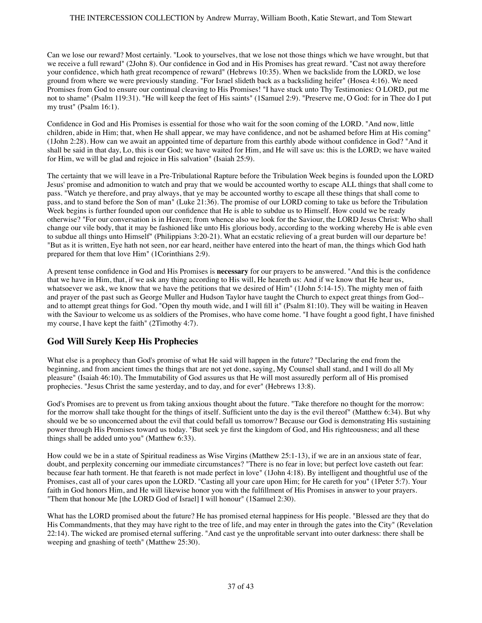Can we lose our reward? Most certainly. "Look to yourselves, that we lose not those things which we have wrought, but that we receive a full reward" (2John 8). Our confidence in God and in His Promises has great reward. "Cast not away therefore your confidence, which hath great recompence of reward" (Hebrews 10:35). When we backslide from the LORD, we lose ground from where we were previously standing. "For Israel slideth back as a backsliding heifer" (Hosea 4:16). We need Promises from God to ensure our continual cleaving to His Promises! "I have stuck unto Thy Testimonies: O LORD, put me not to shame" (Psalm 119:31). "He will keep the feet of His saints" (1Samuel 2:9). "Preserve me, O God: for in Thee do I put my trust" (Psalm 16:1).

Confidence in God and His Promises is essential for those who wait for the soon coming of the LORD. "And now, little children, abide in Him; that, when He shall appear, we may have confidence, and not be ashamed before Him at His coming" (1John 2:28). How can we await an appointed time of departure from this earthly abode without confidence in God? "And it shall be said in that day, Lo, this is our God; we have waited for Him, and He will save us: this is the LORD; we have waited for Him, we will be glad and rejoice in His salvation" (Isaiah 25:9).

The certainty that we will leave in a Pre-Tribulational Rapture before the Tribulation Week begins is founded upon the LORD Jesus' promise and admonition to watch and pray that we would be accounted worthy to escape ALL things that shall come to pass. "Watch ye therefore, and pray always, that ye may be accounted worthy to escape all these things that shall come to pass, and to stand before the Son of man" (Luke 21:36). The promise of our LORD coming to take us before the Tribulation Week begins is further founded upon our confidence that He is able to subdue us to Himself. How could we be ready otherwise? "For our conversation is in Heaven; from whence also we look for the Saviour, the LORD Jesus Christ: Who shall change our vile body, that it may be fashioned like unto His glorious body, according to the working whereby He is able even to subdue all things unto Himself" (Philippians 3:20-21). What an ecstatic relieving of a great burden will our departure be! "But as it is written, Eye hath not seen, nor ear heard, neither have entered into the heart of man, the things which God hath prepared for them that love Him" (1Corinthians 2:9).

A present tense confidence in God and His Promises is **necessary** for our prayers to be answered. "And this is the confidence that we have in Him, that, if we ask any thing according to His will, He heareth us: And if we know that He hear us, whatsoever we ask, we know that we have the petitions that we desired of Him" (1John 5:14-15). The mighty men of faith and prayer of the past such as George Muller and Hudson Taylor have taught the Church to expect great things from God- and to attempt great things for God. "Open thy mouth wide, and I will fill it" (Psalm 81:10). They will be waiting in Heaven with the Saviour to welcome us as soldiers of the Promises, who have come home. "I have fought a good fight, I have finished my course, I have kept the faith" (2Timothy 4:7).

## **God Will Surely Keep His Prophecies**

What else is a prophecy than God's promise of what He said will happen in the future? "Declaring the end from the beginning, and from ancient times the things that are not yet done, saying, My Counsel shall stand, and I will do all My pleasure" (Isaiah 46:10). The Immutability of God assures us that He will most assuredly perform all of His promised prophecies. "Jesus Christ the same yesterday, and to day, and for ever" (Hebrews 13:8).

God's Promises are to prevent us from taking anxious thought about the future. "Take therefore no thought for the morrow: for the morrow shall take thought for the things of itself. Sufficient unto the day is the evil thereof" (Matthew 6:34). But why should we be so unconcerned about the evil that could befall us tomorrow? Because our God is demonstrating His sustaining power through His Promises toward us today. "But seek ye first the kingdom of God, and His righteousness; and all these things shall be added unto you" (Matthew 6:33).

How could we be in a state of Spiritual readiness as Wise Virgins (Matthew 25:1-13), if we are in an anxious state of fear, doubt, and perplexity concerning our immediate circumstances? "There is no fear in love; but perfect love casteth out fear: because fear hath torment. He that feareth is not made perfect in love" (1John 4:18). By intelligent and thoughtful use of the Promises, cast all of your cares upon the LORD. "Casting all your care upon Him; for He careth for you" (1Peter 5:7). Your faith in God honors Him, and He will likewise honor you with the fulfillment of His Promises in answer to your prayers. "Them that honour Me [the LORD God of Israel] I will honour" (1Samuel 2:30).

What has the LORD promised about the future? He has promised eternal happiness for His people. "Blessed are they that do His Commandments, that they may have right to the tree of life, and may enter in through the gates into the City" (Revelation 22:14). The wicked are promised eternal suffering. "And cast ye the unprofitable servant into outer darkness: there shall be weeping and gnashing of teeth" (Matthew 25:30).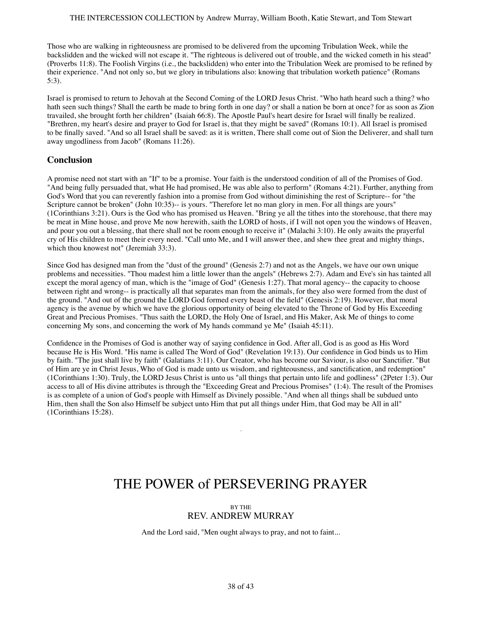Those who are walking in righteousness are promised to be delivered from the upcoming Tribulation Week, while the backslidden and the wicked will not escape it. "The righteous is delivered out of trouble, and the wicked cometh in his stead" (Proverbs 11:8). The Foolish Virgins (i.e., the backslidden) who enter into the Tribulation Week are promised to be refined by their experience. "And not only so, but we glory in tribulations also: knowing that tribulation worketh patience" (Romans 5:3).

Israel is promised to return to Jehovah at the Second Coming of the LORD Jesus Christ. "Who hath heard such a thing? who hath seen such things? Shall the earth be made to bring forth in one day? or shall a nation be born at once? for as soon as Zion travailed, she brought forth her children" (Isaiah 66:8). The Apostle Paul's heart desire for Israel will finally be realized. "Brethren, my heart's desire and prayer to God for Israel is, that they might be saved" (Romans 10:1). All Israel is promised to be finally saved. "And so all Israel shall be saved: as it is written, There shall come out of Sion the Deliverer, and shall turn away ungodliness from Jacob" (Romans 11:26).

## **Conclusion**

A promise need not start with an "If" to be a promise. Your faith is the understood condition of all of the Promises of God. "And being fully persuaded that, what He had promised, He was able also to perform" (Romans 4:21). Further, anything from God's Word that you can reverently fashion into a promise from God without diminishing the rest of Scripture-- for "the Scripture cannot be broken" (John 10:35)-- is yours. "Therefore let no man glory in men. For all things are yours" (1Corinthians 3:21). Ours is the God who has promised us Heaven. "Bring ye all the tithes into the storehouse, that there may be meat in Mine house, and prove Me now herewith, saith the LORD of hosts, if I will not open you the windows of Heaven, and pour you out a blessing, that there shall not be room enough to receive it" (Malachi 3:10). He only awaits the prayerful cry of His children to meet their every need. "Call unto Me, and I will answer thee, and shew thee great and mighty things, which thou knowest not" (Jeremiah 33:3).

Since God has designed man from the "dust of the ground" (Genesis 2:7) and not as the Angels, we have our own unique problems and necessities. "Thou madest him a little lower than the angels" (Hebrews 2:7). Adam and Eve's sin has tainted all except the moral agency of man, which is the "image of God" (Genesis 1:27). That moral agency-- the capacity to choose between right and wrong-- is practically all that separates man from the animals, for they also were formed from the dust of the ground. "And out of the ground the LORD God formed every beast of the field" (Genesis 2:19). However, that moral agency is the avenue by which we have the glorious opportunity of being elevated to the Throne of God by His Exceeding Great and Precious Promises. "Thus saith the LORD, the Holy One of Israel, and His Maker, Ask Me of things to come concerning My sons, and concerning the work of My hands command ye Me" (Isaiah 45:11).

Confidence in the Promises of God is another way of saying confidence in God. After all, God is as good as His Word because He is His Word. "His name is called The Word of God" (Revelation 19:13). Our confidence in God binds us to Him by faith. "The just shall live by faith" (Galatians 3:11). Our Creator, who has become our Saviour, is also our Sanctifier. "But of Him are ye in Christ Jesus, Who of God is made unto us wisdom, and righteousness, and sanctification, and redemption" (1Corinthians 1:30). Truly, the LORD Jesus Christ is unto us "all things that pertain unto life and godliness" (2Peter 1:3). Our access to all of His divine attributes is through the "Exceeding Great and Precious Promises" (1:4). The result of the Promises is as complete of a union of God's people with Himself as Divinely possible. "And when all things shall be subdued unto Him, then shall the Son also Himself be subject unto Him that put all things under Him, that God may be All in all" (1Corinthians 15:28).

.

## THE POWER of PERSEVERING PRAYER

BY THE REV. ANDREW MURRAY

And the Lord said, "Men ought always to pray, and not to faint...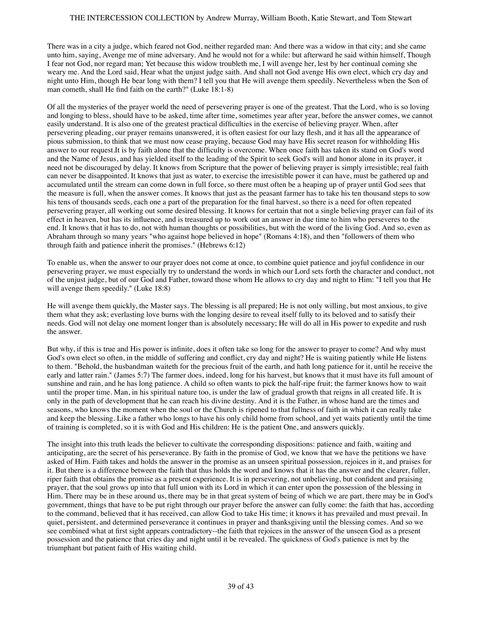There was in a city a judge, which feared not God, neither regarded man: And there was a widow in that city; and she came unto him, saying, Avenge me of mine adversary. And he would not for a while: but afterward he said within himself, Though I fear not God, nor regard man; Yet because this widow troubleth me, I will avenge her, lest by her continual coming she weary me. And the Lord said, Hear what the unjust judge saith. And shall not God avenge His own elect, which cry day and night unto Him, though He bear long with them? I tell you that He will avenge them speedily. Nevertheless when the Son of man cometh, shall He find faith on the earth?" (Luke 18:1-8)

Of all the mysteries of the prayer world the need of persevering prayer is one of the greatest. That the Lord, who is so loving and longing to bless, should have to be asked, time after time, sometimes year after year, before the answer comes, we cannot easily understand. It is also one of the greatest practical difficulties in the exercise of believing prayer. When, after persevering pleading, our prayer remains unanswered, it is often easiest for our lazy flesh, and it has all the appearance of pious submission, to think that we must now cease praying, because God may have His secret reason for withholding His answer to our request.It is by faith alone that the difficulty is overcome. When once faith has taken its stand on God's word and the Name of Jesus, and has yielded itself to the leading of the Spirit to seek God's will and honor alone in its prayer, it need not be discouraged by delay. It knows from Scripture that the power of believing prayer is simply irresistible; real faith can never be disappointed. It knows that just as water, to exercise the irresistible power it can have, must be gathered up and accumulated until the stream can come down in full force, so there must often be a heaping up of prayer until God sees that the measure is full, when the answer comes. It knows that just as the peasant farmer has to take his ten thousand steps to sow his tens of thousands seeds, each one a part of the preparation for the final harvest, so there is a need for often repeated persevering prayer, all working out some desired blessing. It knows for certain that not a single believing prayer can fail of its effect in heaven, but has its influence, and is treasured up to work out an answer in due time to him who perseveres to the end. It knows that it has to do, not with human thoughts or possibilities, but with the word of the living God. And so, even as Abraham through so many years "who against hope believed in hope" (Romans 4:18), and then "followers of them who through faith and patience inherit the promises." (Hebrews 6:12)

To enable us, when the answer to our prayer does not come at once, to combine quiet patience and joyful confidence in our persevering prayer, we must especially try to understand the words in which our Lord sets forth the character and conduct, not of the unjust judge, but of our God and Father, toward those whom He allows to cry day and night to Him: "I tell you that He will avenge them speedily." (Luke 18:8)

He will avenge them quickly, the Master says. The blessing is all prepared; He is not only willing, but most anxious, to give them what they ask; everlasting love burns with the longing desire to reveal itself fully to its beloved and to satisfy their needs. God will not delay one moment longer than is absolutely necessary; He will do all in His power to expedite and rush the answer.

But why, if this is true and His power is infinite, does it often take so long for the answer to prayer to come? And why must God's own elect so often, in the middle of suffering and conflict, cry day and night? He is waiting patiently while He listens to them. "Behold, the husbandman waiteth for the precious fruit of the earth, and hath long patience for it, until he receive the early and latter rain." (James 5:7) The farmer does, indeed, long for his harvest, but knows that it must have its full amount of sunshine and rain, and he has long patience. A child so often wants to pick the half-ripe fruit; the farmer knows how to wait until the proper time. Man, in his spiritual nature too, is under the law of gradual growth that reigns in all created life. It is only in the path of development that he can reach his divine destiny. And it is the Father, in whose hand are the times and seasons, who knows the moment when the soul or the Church is ripened to that fullness of faith in which it can really take and keep the blessing. Like a father who longs to have his only child home from school, and yet waits patiently until the time of training is completed, so it is with God and His children: He is the patient One, and answers quickly.

The insight into this truth leads the believer to cultivate the corresponding dispositions: patience and faith, waiting and anticipating, are the secret of his perseverance. By faith in the promise of God, we know that we have the petitions we have asked of Him. Faith takes and holds the answer in the promise as an unseen spiritual possession, rejoices in it, and praises for it. But there is a difference between the faith that thus holds the word and knows that it has the answer and the clearer, fuller, riper faith that obtains the promise as a present experience. It is in persevering, not unbelieving, but confident and praising prayer, that the soul grows up into that full union with its Lord in which it can enter upon the possession of the blessing in Him. There may be in these around us, there may be in that great system of being of which we are part, there may be in God's government, things that have to be put right through our prayer before the answer can fully come: the faith that has, according to the command, believed that it has received, can allow God to take His time; it knows it has prevailed and must prevail. In quiet, persistent, and determined perseverance it continues in prayer and thanksgiving until the blessing comes. And so we see combined what at first sight appears contradictory--the faith that rejoices in the answer of the unseen God as a present possession and the patience that cries day and night until it be revealed. The quickness of God's patience is met by the triumphant but patient faith of His waiting child.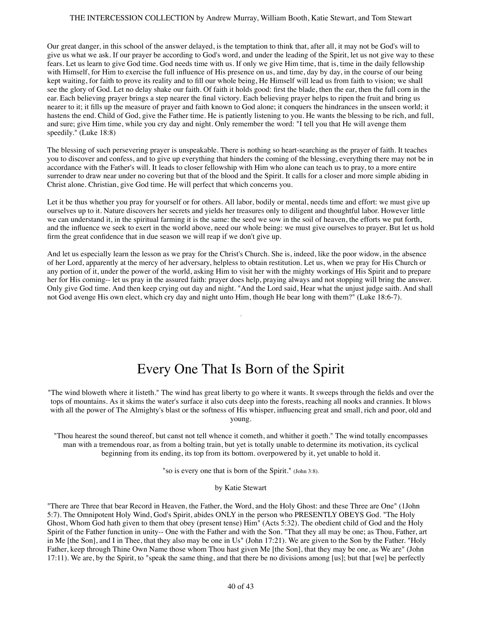Our great danger, in this school of the answer delayed, is the temptation to think that, after all, it may not be God's will to give us what we ask. If our prayer be according to God's word, and under the leading of the Spirit, let us not give way to these fears. Let us learn to give God time. God needs time with us. If only we give Him time, that is, time in the daily fellowship with Himself, for Him to exercise the full influence of His presence on us, and time, day by day, in the course of our being kept waiting, for faith to prove its reality and to fill our whole being, He Himself will lead us from faith to vision; we shall see the glory of God. Let no delay shake our faith. Of faith it holds good: first the blade, then the ear, then the full corn in the ear. Each believing prayer brings a step nearer the final victory. Each believing prayer helps to ripen the fruit and bring us nearer to it; it fills up the measure of prayer and faith known to God alone; it conquers the hindrances in the unseen world; it hastens the end. Child of God, give the Father time. He is patiently listening to you. He wants the blessing to be rich, and full, and sure; give Him time, while you cry day and night. Only remember the word: "I tell you that He will avenge them speedily." (Luke 18:8)

The blessing of such persevering prayer is unspeakable. There is nothing so heart-searching as the prayer of faith. It teaches you to discover and confess, and to give up everything that hinders the coming of the blessing, everything there may not be in accordance with the Father's will. It leads to closer fellowship with Him who alone can teach us to pray, to a more entire surrender to draw near under no covering but that of the blood and the Spirit. It calls for a closer and more simple abiding in Christ alone. Christian, give God time. He will perfect that which concerns you.

Let it be thus whether you pray for yourself or for others. All labor, bodily or mental, needs time and effort: we must give up ourselves up to it. Nature discovers her secrets and yields her treasures only to diligent and thoughtful labor. However little we can understand it, in the spiritual farming it is the same: the seed we sow in the soil of heaven, the efforts we put forth, and the influence we seek to exert in the world above, need our whole being: we must give ourselves to prayer. But let us hold firm the great confidence that in due season we will reap if we don't give up.

And let us especially learn the lesson as we pray for the Christ's Church. She is, indeed, like the poor widow, in the absence of her Lord, apparently at the mercy of her adversary, helpless to obtain restitution. Let us, when we pray for His Church or any portion of it, under the power of the world, asking Him to visit her with the mighty workings of His Spirit and to prepare her for His coming-- let us pray in the assured faith: prayer does help, praying always and not stopping will bring the answer. Only give God time. And then keep crying out day and night. "And the Lord said, Hear what the unjust judge saith. And shall not God avenge His own elect, which cry day and night unto Him, though He bear long with them?" (Luke 18:6-7).

.

## Every One That Is Born of the Spirit

"The wind bloweth where it listeth." The wind has great liberty to go where it wants. It sweeps through the fields and over the tops of mountains. As it skims the water's surface it also cuts deep into the forests, reaching all nooks and crannies. It blows with all the power of The Almighty's blast or the softness of His whisper, influencing great and small, rich and poor, old and young.

"Thou hearest the sound thereof, but canst not tell whence it cometh, and whither it goeth." The wind totally encompasses man with a tremendous roar, as from a bolting train, but yet is totally unable to determine its motivation, its cyclical beginning from its ending, its top from its bottom. overpowered by it, yet unable to hold it.

"so is every one that is born of the Spirit." (John 3:8).

by Katie Stewart

"There are Three that bear Record in Heaven, the Father, the Word, and the Holy Ghost: and these Three are One" (1John 5:7). The Omnipotent Holy Wind, God's Spirit, abides ONLY in the person who PRESENTLY OBEYS God. "The Holy Ghost, Whom God hath given to them that obey (present tense) Him" (Acts 5:32). The obedient child of God and the Holy Spirit of the Father function in unity-- One with the Father and with the Son. "That they all may be one; as Thou, Father, art in Me [the Son], and I in Thee, that they also may be one in Us" (John 17:21). We are given to the Son by the Father. "Holy Father, keep through Thine Own Name those whom Thou hast given Me [the Son], that they may be one, as We are" (John 17:11). We are, by the Spirit, to "speak the same thing, and that there be no divisions among [us]; but that [we] be perfectly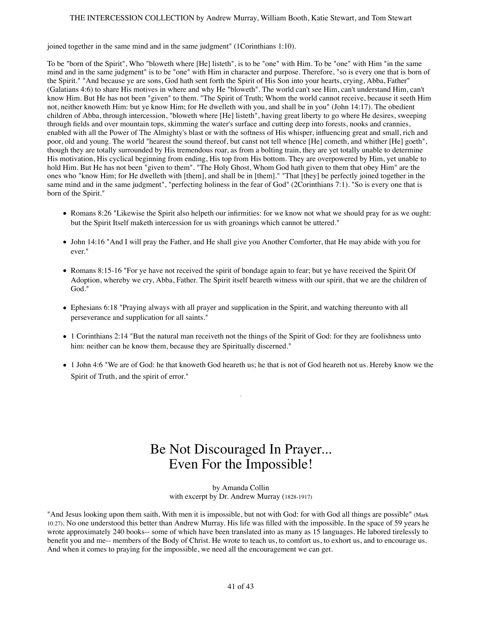joined together in the same mind and in the same judgment" (1Corinthians 1:10).

To be "born of the Spirit", Who "bloweth where [He] listeth", is to be "one" with Him. To be "one" with Him "in the same mind and in the same judgment" is to be "one" with Him in character and purpose. Therefore, "so is every one that is born of the Spirit." "And because ye are sons, God hath sent forth the Spirit of His Son into your hearts, crying, Abba, Father" (Galatians 4:6) to share His motives in where and why He "bloweth". The world can't see Him, can't understand Him, can't know Him. But He has not been "given" to them. "The Spirit of Truth; Whom the world cannot receive, because it seeth Him not, neither knoweth Him: but ye know Him; for He dwelleth with you, and shall be in you" (John 14:17). The obedient children of Abba, through intercession, "bloweth where [He] listeth", having great liberty to go where He desires, sweeping through fields and over mountain tops, skimming the water's surface and cutting deep into forests, nooks and crannies, enabled with all the Power of The Almighty's blast or with the softness of His whisper, influencing great and small, rich and poor, old and young. The world "hearest the sound thereof, but canst not tell whence [He] cometh, and whither [He] goeth", though they are totally surrounded by His tremendous roar, as from a bolting train, they are yet totally unable to determine His motivation, His cyclical beginning from ending, His top from His bottom. They are overpowered by Him, yet unable to hold Him. But He has not been "given to them". "The Holy Ghost, Whom God hath given to them that obey Him" are the ones who "know Him; for He dwelleth with [them], and shall be in [them]." "That [they] be perfectly joined together in the same mind and in the same judgment", "perfecting holiness in the fear of God" (2Corinthians 7:1). "So is every one that is born of the Spirit."

- Romans 8:26 "Likewise the Spirit also helpeth our infirmities: for we know not what we should pray for as we ought: but the Spirit Itself maketh intercession for us with groanings which cannot be uttered."
- John 14:16 "And I will pray the Father, and He shall give you Another Comforter, that He may abide with you for ever."
- Romans 8:15-16 "For ye have not received the spirit of bondage again to fear; but ye have received the Spirit Of Adoption, whereby we cry, Abba, Father. The Spirit itself beareth witness with our spirit, that we are the children of God."
- Ephesians 6:18 "Praying always with all prayer and supplication in the Spirit, and watching thereunto with all perseverance and supplication for all saints."
- 1 Corinthians 2:14 "But the natural man receiveth not the things of the Spirit of God: for they are foolishness unto him: neither can he know them, because they are Spiritually discerned."
- 1 John 4:6 "We are of God: he that knoweth God heareth us; he that is not of God heareth not us. Hereby know we the Spirit of Truth, and the spirit of error."

.

## Be Not Discouraged In Prayer... Even For the Impossible!

by Amanda Collin with excerpt by Dr. Andrew Murray (1828-1917)

"And Jesus looking upon them saith, With men it is impossible, but not with God: for with God all things are possible" (Mark 10:27). No one understood this better than Andrew Murray. His life was filled with the impossible. In the space of 59 years he wrote approximately 240 books-- some of which have been translated into as many as 15 languages. He labored tirelessly to benefit you and me-- members of the Body of Christ. He wrote to teach us, to comfort us, to exhort us, and to encourage us. And when it comes to praying for the impossible, we need all the encouragement we can get.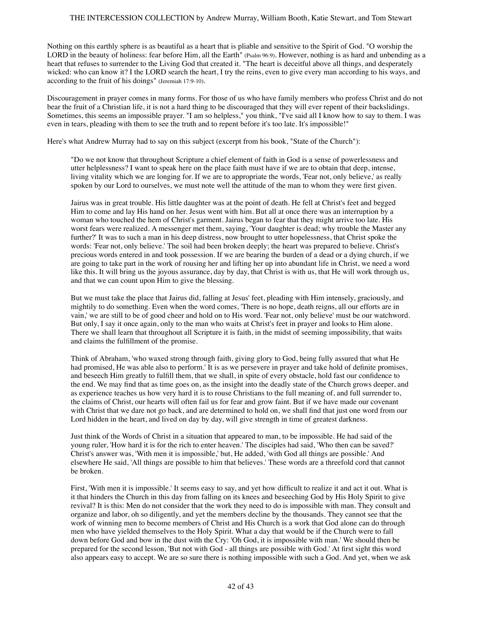Nothing on this earthly sphere is as beautiful as a heart that is pliable and sensitive to the Spirit of God. "O worship the LORD in the beauty of holiness: fear before Him, all the Earth" (Psalm 96:9). However, nothing is as hard and unbending as a heart that refuses to surrender to the Living God that created it. "The heart is deceitful above all things, and desperately wicked: who can know it? I the LORD search the heart, I try the reins, even to give every man according to his ways, and according to the fruit of his doings" (Jeremiah 17:9-10).

Discouragement in prayer comes in many forms. For those of us who have family members who profess Christ and do not bear the fruit of a Christian life, it is not a hard thing to be discouraged that they will ever repent of their backslidings. Sometimes, this seems an impossible prayer. "I am so helpless," you think, "I've said all I know how to say to them. I was even in tears, pleading with them to see the truth and to repent before it's too late. It's impossible!"

Here's what Andrew Murray had to say on this subject (excerpt from his book, "State of the Church"):

"Do we not know that throughout Scripture a chief element of faith in God is a sense of powerlessness and utter helplessness? I want to speak here on the place faith must have if we are to obtain that deep, intense, living vitality which we are longing for. If we are to appropriate the words, 'Fear not, only believe,' as really spoken by our Lord to ourselves, we must note well the attitude of the man to whom they were first given.

Jairus was in great trouble. His little daughter was at the point of death. He fell at Christ's feet and begged Him to come and lay His hand on her. Jesus went with him. But all at once there was an interruption by a woman who touched the hem of Christ's garment. Jairus began to fear that they might arrive too late. His worst fears were realized. A messenger met them, saying, 'Your daughter is dead; why trouble the Master any further?' It was to such a man in his deep distress, now brought to utter hopelessness, that Christ spoke the words: 'Fear not, only believe.' The soil had been broken deeply; the heart was prepared to believe. Christ's precious words entered in and took possession. If we are bearing the burden of a dead or a dying church, if we are going to take part in the work of rousing her and lifting her up into abundant life in Christ, we need a word like this. It will bring us the joyous assurance, day by day, that Christ is with us, that He will work through us, and that we can count upon Him to give the blessing.

But we must take the place that Jairus did, falling at Jesus' feet, pleading with Him intensely, graciously, and mightily to do something. Even when the word comes, 'There is no hope, death reigns, all our efforts are in vain,' we are still to be of good cheer and hold on to His word. 'Fear not, only believe' must be our watchword. But only, I say it once again, only to the man who waits at Christ's feet in prayer and looks to Him alone. There we shall learn that throughout all Scripture it is faith, in the midst of seeming impossibility, that waits and claims the fulfillment of the promise.

Think of Abraham, 'who waxed strong through faith, giving glory to God, being fully assured that what He had promised, He was able also to perform.' It is as we persevere in prayer and take hold of definite promises, and beseech Him greatly to fulfill them, that we shall, in spite of every obstacle, hold fast our confidence to the end. We may find that as time goes on, as the insight into the deadly state of the Church grows deeper, and as experience teaches us how very hard it is to rouse Christians to the full meaning of, and full surrender to, the claims of Christ, our hearts will often fail us for fear and grow faint. But if we have made our covenant with Christ that we dare not go back, and are determined to hold on, we shall find that just one word from our Lord hidden in the heart, and lived on day by day, will give strength in time of greatest darkness.

Just think of the Words of Christ in a situation that appeared to man, to be impossible. He had said of the young ruler, 'How hard it is for the rich to enter heaven.' The disciples had said, 'Who then can be saved?' Christ's answer was, 'With men it is impossible,' but, He added, 'with God all things are possible.' And elsewhere He said, 'All things are possible to him that believes.' These words are a threefold cord that cannot be broken.

First, 'With men it is impossible.' It seems easy to say, and yet how difficult to realize it and act it out. What is it that hinders the Church in this day from falling on its knees and beseeching God by His Holy Spirit to give revival? It is this: Men do not consider that the work they need to do is impossible with man. They consult and organize and labor, oh so diligently, and yet the members decline by the thousands. They cannot see that the work of winning men to become members of Christ and His Church is a work that God alone can do through men who have yielded themselves to the Holy Spirit. What a day that would be if the Church were to fall down before God and bow in the dust with the Cry: 'Oh God, it is impossible with man.' We should then be prepared for the second lesson, 'But not with God - all things are possible with God.' At first sight this word also appears easy to accept. We are so sure there is nothing impossible with such a God. And yet, when we ask